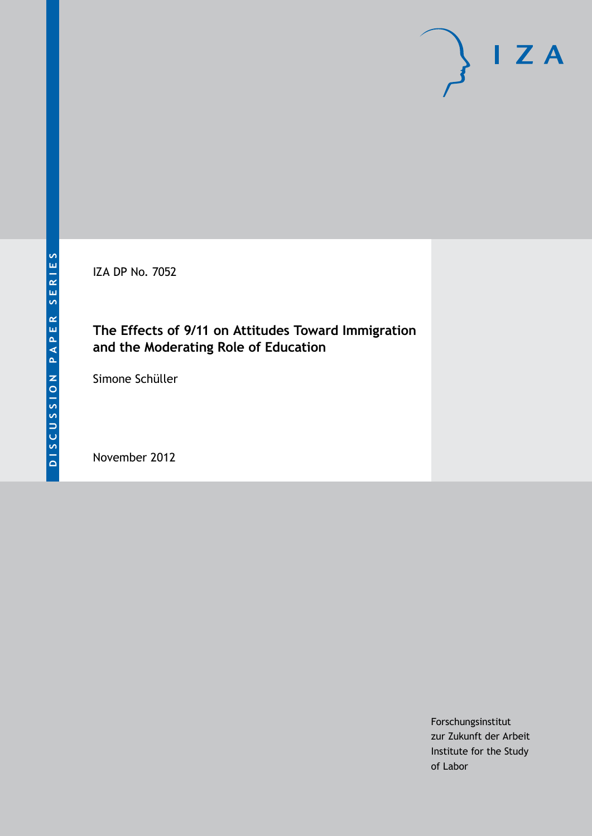IZA DP No. 7052

# **The Effects of 9/11 on Attitudes Toward Immigration and the Moderating Role of Education**

Simone Schüller

November 2012

Forschungsinstitut zur Zukunft der Arbeit Institute for the Study of Labor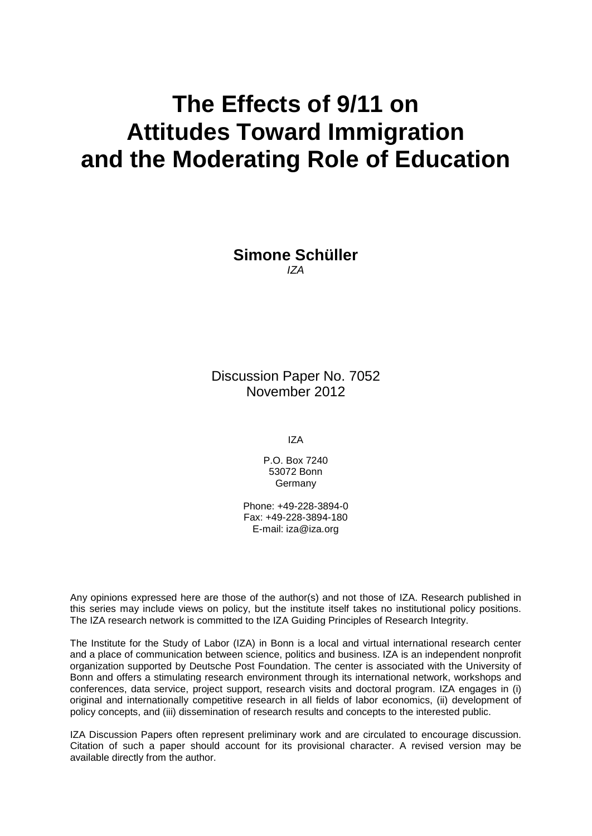# **The Effects of 9/11 on Attitudes Toward Immigration and the Moderating Role of Education**

**Simone Schüller** *IZA*

Discussion Paper No. 7052 November 2012

IZA

P.O. Box 7240 53072 Bonn **Germany** 

Phone: +49-228-3894-0 Fax: +49-228-3894-180 E-mail: [iza@iza.org](mailto:iza@iza.org)

Any opinions expressed here are those of the author(s) and not those of IZA. Research published in this series may include views on policy, but the institute itself takes no institutional policy positions. The IZA research network is committed to the IZA Guiding Principles of Research Integrity.

The Institute for the Study of Labor (IZA) in Bonn is a local and virtual international research center and a place of communication between science, politics and business. IZA is an independent nonprofit organization supported by Deutsche Post Foundation. The center is associated with the University of Bonn and offers a stimulating research environment through its international network, workshops and conferences, data service, project support, research visits and doctoral program. IZA engages in (i) original and internationally competitive research in all fields of labor economics, (ii) development of policy concepts, and (iii) dissemination of research results and concepts to the interested public.

IZA Discussion Papers often represent preliminary work and are circulated to encourage discussion. Citation of such a paper should account for its provisional character. A revised version may be available directly from the author.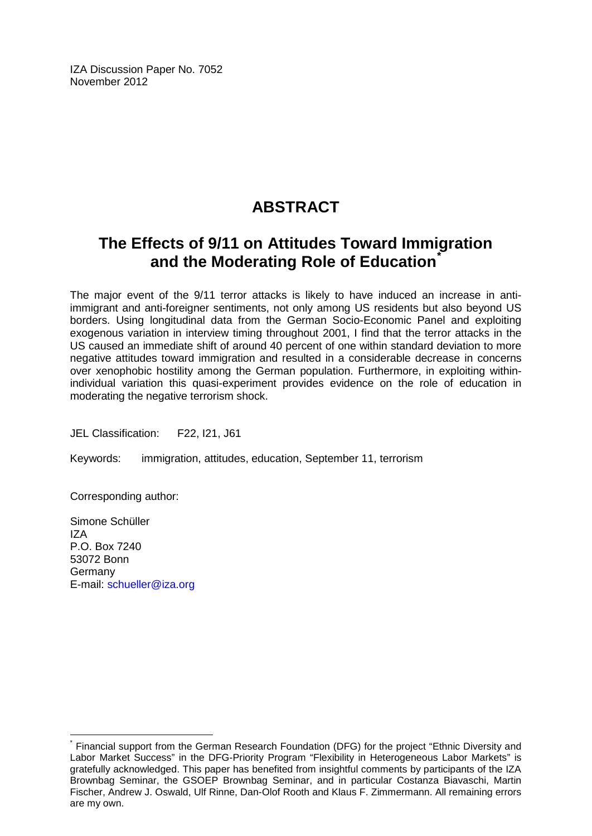IZA Discussion Paper No. 7052 November 2012

# **ABSTRACT**

# **The Effects of 9/11 on Attitudes Toward Immigration and the Moderating Role of Education[\\*](#page-2-0)**

The major event of the 9/11 terror attacks is likely to have induced an increase in antiimmigrant and anti-foreigner sentiments, not only among US residents but also beyond US borders. Using longitudinal data from the German Socio-Economic Panel and exploiting exogenous variation in interview timing throughout 2001, I find that the terror attacks in the US caused an immediate shift of around 40 percent of one within standard deviation to more negative attitudes toward immigration and resulted in a considerable decrease in concerns over xenophobic hostility among the German population. Furthermore, in exploiting withinindividual variation this quasi-experiment provides evidence on the role of education in moderating the negative terrorism shock.

JEL Classification: F22, I21, J61

Keywords: immigration, attitudes, education, September 11, terrorism

Corresponding author:

Simone Schüller IZA P.O. Box 7240 53072 Bonn Germany E-mail: [schueller@iza.org](mailto:schueller@iza.org)

<span id="page-2-0"></span>Financial support from the German Research Foundation (DFG) for the project "Ethnic Diversity and Labor Market Success" in the DFG-Priority Program "Flexibility in Heterogeneous Labor Markets" is gratefully acknowledged. This paper has benefited from insightful comments by participants of the IZA Brownbag Seminar, the GSOEP Brownbag Seminar, and in particular Costanza Biavaschi, Martin Fischer, Andrew J. Oswald, Ulf Rinne, Dan-Olof Rooth and Klaus F. Zimmermann. All remaining errors are my own.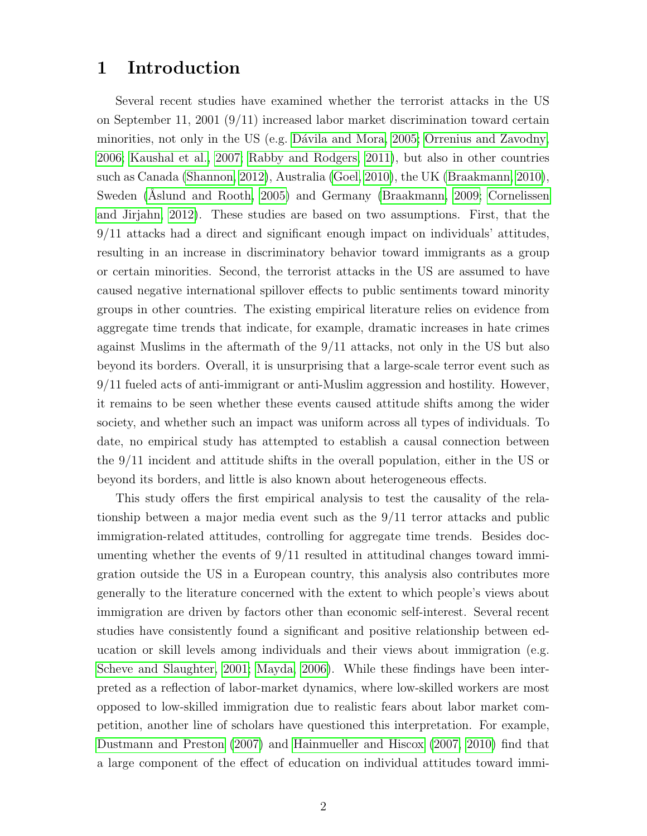### 1 Introduction

Several recent studies have examined whether the terrorist attacks in the US on September 11, 2001 (9/11) increased labor market discrimination toward certain minorities, not only in the US (e.g. Dávila and Mora, 2005; [Orrenius and Zavodny,](#page-18-0) [2006;](#page-18-0) [Kaushal et al., 2007;](#page-17-0) [Rabby and Rodgers, 2011\)](#page-18-1), but also in other countries such as Canada [\(Shannon, 2012\)](#page-18-2), Australia [\(Goel, 2010\)](#page-17-1), the UK [\(Braakmann, 2010\)](#page-16-1), Sweden (Aslund and Rooth, 2005) and Germany [\(Braakmann, 2009;](#page-16-3) [Cornelissen](#page-16-4) [and Jirjahn, 2012\)](#page-16-4). These studies are based on two assumptions. First, that the 9/11 attacks had a direct and significant enough impact on individuals' attitudes, resulting in an increase in discriminatory behavior toward immigrants as a group or certain minorities. Second, the terrorist attacks in the US are assumed to have caused negative international spillover effects to public sentiments toward minority groups in other countries. The existing empirical literature relies on evidence from aggregate time trends that indicate, for example, dramatic increases in hate crimes against Muslims in the aftermath of the 9/11 attacks, not only in the US but also beyond its borders. Overall, it is unsurprising that a large-scale terror event such as 9/11 fueled acts of anti-immigrant or anti-Muslim aggression and hostility. However, it remains to be seen whether these events caused attitude shifts among the wider society, and whether such an impact was uniform across all types of individuals. To date, no empirical study has attempted to establish a causal connection between the 9/11 incident and attitude shifts in the overall population, either in the US or beyond its borders, and little is also known about heterogeneous effects.

This study offers the first empirical analysis to test the causality of the relationship between a major media event such as the 9/11 terror attacks and public immigration-related attitudes, controlling for aggregate time trends. Besides documenting whether the events of 9/11 resulted in attitudinal changes toward immigration outside the US in a European country, this analysis also contributes more generally to the literature concerned with the extent to which people's views about immigration are driven by factors other than economic self-interest. Several recent studies have consistently found a significant and positive relationship between education or skill levels among individuals and their views about immigration (e.g. [Scheve and Slaughter, 2001;](#page-18-3) [Mayda, 2006\)](#page-18-4). While these findings have been interpreted as a reflection of labor-market dynamics, where low-skilled workers are most opposed to low-skilled immigration due to realistic fears about labor market competition, another line of scholars have questioned this interpretation. For example, [Dustmann and Preston](#page-17-2) [\(2007\)](#page-17-2) and [Hainmueller and Hiscox](#page-17-3) [\(2007,](#page-17-3) [2010\)](#page-17-4) find that a large component of the effect of education on individual attitudes toward immi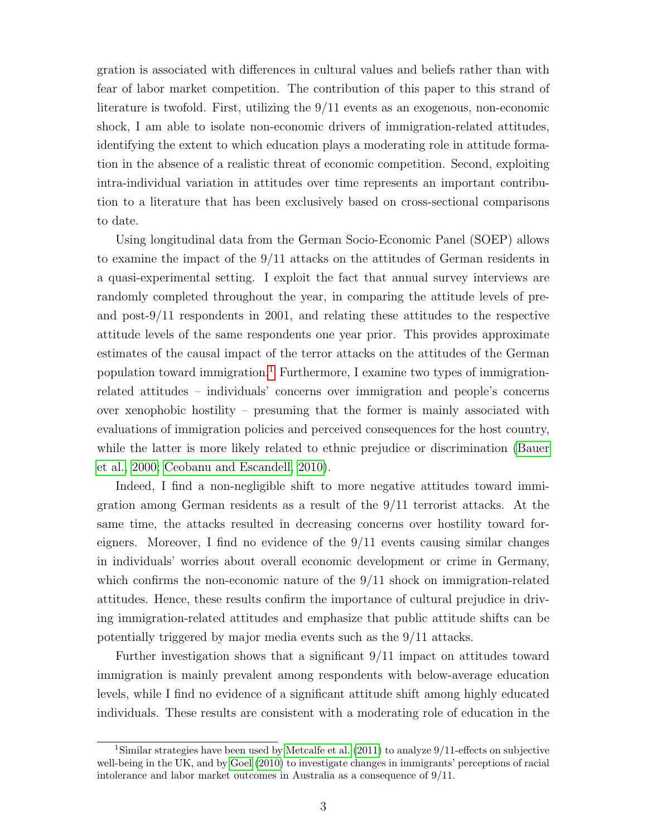gration is associated with differences in cultural values and beliefs rather than with fear of labor market competition. The contribution of this paper to this strand of literature is twofold. First, utilizing the 9/11 events as an exogenous, non-economic shock, I am able to isolate non-economic drivers of immigration-related attitudes, identifying the extent to which education plays a moderating role in attitude formation in the absence of a realistic threat of economic competition. Second, exploiting intra-individual variation in attitudes over time represents an important contribution to a literature that has been exclusively based on cross-sectional comparisons to date.

Using longitudinal data from the German Socio-Economic Panel (SOEP) allows to examine the impact of the 9/11 attacks on the attitudes of German residents in a quasi-experimental setting. I exploit the fact that annual survey interviews are randomly completed throughout the year, in comparing the attitude levels of preand post-9/11 respondents in 2001, and relating these attitudes to the respective attitude levels of the same respondents one year prior. This provides approximate estimates of the causal impact of the terror attacks on the attitudes of the German population toward immigration.[1](#page-4-0) Furthermore, I examine two types of immigrationrelated attitudes – individuals' concerns over immigration and people's concerns over xenophobic hostility – presuming that the former is mainly associated with evaluations of immigration policies and perceived consequences for the host country, while the latter is more likely related to ethnic prejudice or discrimination [\(Bauer](#page-16-5) [et al., 2000;](#page-16-5) [Ceobanu and Escandell, 2010\)](#page-16-6).

Indeed, I find a non-negligible shift to more negative attitudes toward immigration among German residents as a result of the 9/11 terrorist attacks. At the same time, the attacks resulted in decreasing concerns over hostility toward foreigners. Moreover, I find no evidence of the 9/11 events causing similar changes in individuals' worries about overall economic development or crime in Germany, which confirms the non-economic nature of the  $9/11$  shock on immigration-related attitudes. Hence, these results confirm the importance of cultural prejudice in driving immigration-related attitudes and emphasize that public attitude shifts can be potentially triggered by major media events such as the 9/11 attacks.

Further investigation shows that a significant 9/11 impact on attitudes toward immigration is mainly prevalent among respondents with below-average education levels, while I find no evidence of a significant attitude shift among highly educated individuals. These results are consistent with a moderating role of education in the

<span id="page-4-0"></span><sup>&</sup>lt;sup>1</sup>Similar strategies have been used by [Metcalfe et al.](#page-18-5) [\(2011\)](#page-18-5) to analyze  $9/11$ -effects on subjective well-being in the UK, and by [Goel](#page-17-1) [\(2010\)](#page-17-1) to investigate changes in immigrants' perceptions of racial intolerance and labor market outcomes in Australia as a consequence of 9/11.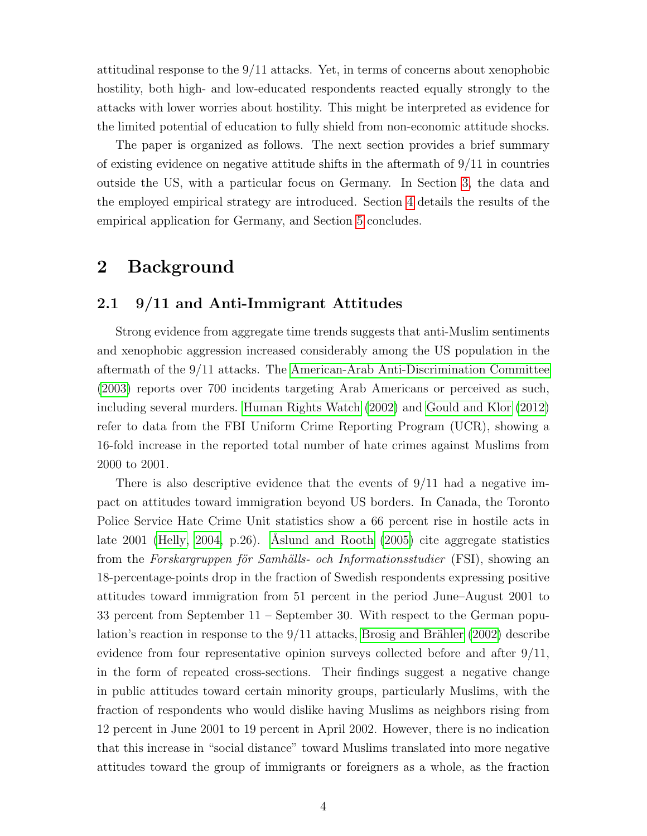attitudinal response to the 9/11 attacks. Yet, in terms of concerns about xenophobic hostility, both high- and low-educated respondents reacted equally strongly to the attacks with lower worries about hostility. This might be interpreted as evidence for the limited potential of education to fully shield from non-economic attitude shocks.

The paper is organized as follows. The next section provides a brief summary of existing evidence on negative attitude shifts in the aftermath of 9/11 in countries outside the US, with a particular focus on Germany. In Section [3,](#page-7-0) the data and the employed empirical strategy are introduced. Section [4](#page-10-0) details the results of the empirical application for Germany, and Section [5](#page-14-0) concludes.

### 2 Background

#### 2.1 9/11 and Anti-Immigrant Attitudes

Strong evidence from aggregate time trends suggests that anti-Muslim sentiments and xenophobic aggression increased considerably among the US population in the aftermath of the 9/11 attacks. The [American-Arab Anti-Discrimination Committee](#page-16-7) [\(2003\)](#page-16-7) reports over 700 incidents targeting Arab Americans or perceived as such, including several murders. [Human Rights Watch](#page-17-5) [\(2002\)](#page-17-5) and [Gould and Klor](#page-17-6) [\(2012\)](#page-17-6) refer to data from the FBI Uniform Crime Reporting Program (UCR), showing a 16-fold increase in the reported total number of hate crimes against Muslims from 2000 to 2001.

There is also descriptive evidence that the events of  $9/11$  had a negative impact on attitudes toward immigration beyond US borders. In Canada, the Toronto Police Service Hate Crime Unit statistics show a 66 percent rise in hostile acts in late 2001 [\(Helly, 2004,](#page-17-7) p.26). Åslund and Rooth  $(2005)$  cite aggregate statistics from the Forskargruppen för Samhälls- och Informationsstudier (FSI), showing an 18-percentage-points drop in the fraction of Swedish respondents expressing positive attitudes toward immigration from 51 percent in the period June–August 2001 to 33 percent from September 11 – September 30. With respect to the German population's reaction in response to the  $9/11$  attacks, Brosig and Brähler [\(2002\)](#page-16-8) describe evidence from four representative opinion surveys collected before and after 9/11, in the form of repeated cross-sections. Their findings suggest a negative change in public attitudes toward certain minority groups, particularly Muslims, with the fraction of respondents who would dislike having Muslims as neighbors rising from 12 percent in June 2001 to 19 percent in April 2002. However, there is no indication that this increase in "social distance" toward Muslims translated into more negative attitudes toward the group of immigrants or foreigners as a whole, as the fraction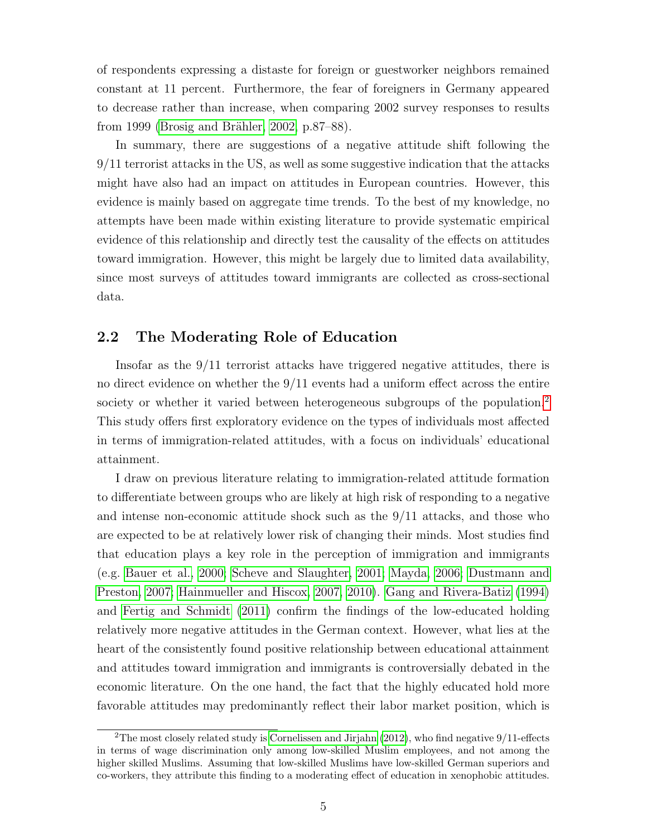of respondents expressing a distaste for foreign or guestworker neighbors remained constant at 11 percent. Furthermore, the fear of foreigners in Germany appeared to decrease rather than increase, when comparing 2002 survey responses to results from 1999 (Brosig and Brähler, 2002, p.87–88).

In summary, there are suggestions of a negative attitude shift following the 9/11 terrorist attacks in the US, as well as some suggestive indication that the attacks might have also had an impact on attitudes in European countries. However, this evidence is mainly based on aggregate time trends. To the best of my knowledge, no attempts have been made within existing literature to provide systematic empirical evidence of this relationship and directly test the causality of the effects on attitudes toward immigration. However, this might be largely due to limited data availability, since most surveys of attitudes toward immigrants are collected as cross-sectional data.

#### 2.2 The Moderating Role of Education

Insofar as the 9/11 terrorist attacks have triggered negative attitudes, there is no direct evidence on whether the 9/11 events had a uniform effect across the entire society or whether it varied between heterogeneous subgroups of the population.<sup>[2](#page-6-0)</sup> This study offers first exploratory evidence on the types of individuals most affected in terms of immigration-related attitudes, with a focus on individuals' educational attainment.

I draw on previous literature relating to immigration-related attitude formation to differentiate between groups who are likely at high risk of responding to a negative and intense non-economic attitude shock such as the 9/11 attacks, and those who are expected to be at relatively lower risk of changing their minds. Most studies find that education plays a key role in the perception of immigration and immigrants (e.g. [Bauer et al., 2000;](#page-16-5) [Scheve and Slaughter, 2001;](#page-18-3) [Mayda, 2006;](#page-18-4) [Dustmann and](#page-17-2) [Preston, 2007;](#page-17-2) [Hainmueller and Hiscox, 2007,](#page-17-3) [2010\)](#page-17-4). [Gang and Rivera-Batiz](#page-17-8) [\(1994\)](#page-17-8) and [Fertig and Schmidt](#page-17-9) [\(2011\)](#page-17-9) confirm the findings of the low-educated holding relatively more negative attitudes in the German context. However, what lies at the heart of the consistently found positive relationship between educational attainment and attitudes toward immigration and immigrants is controversially debated in the economic literature. On the one hand, the fact that the highly educated hold more favorable attitudes may predominantly reflect their labor market position, which is

<span id="page-6-0"></span><sup>&</sup>lt;sup>2</sup>The most closely related study is [Cornelissen and Jirjahn](#page-16-4) [\(2012\)](#page-16-4), who find negative  $9/11$ -effects in terms of wage discrimination only among low-skilled Muslim employees, and not among the higher skilled Muslims. Assuming that low-skilled Muslims have low-skilled German superiors and co-workers, they attribute this finding to a moderating effect of education in xenophobic attitudes.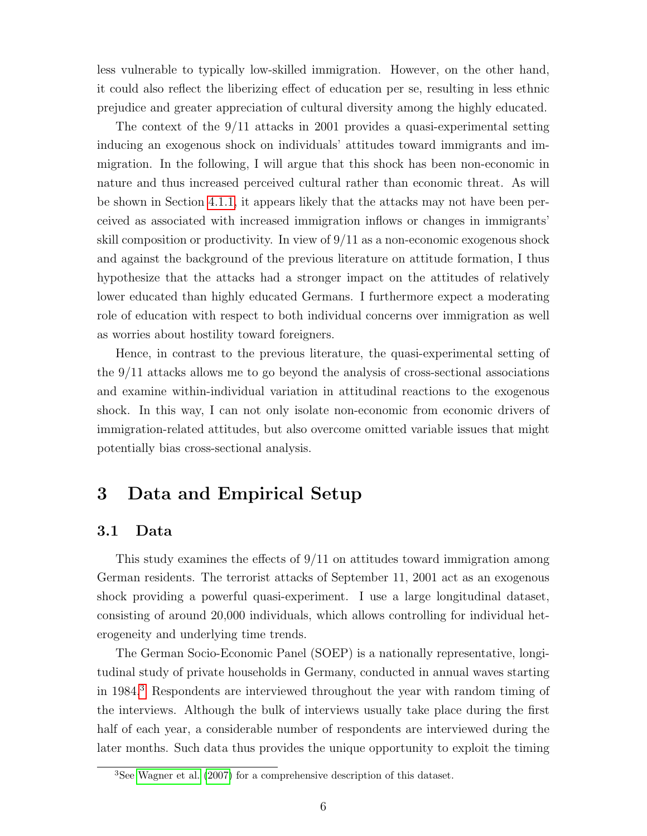less vulnerable to typically low-skilled immigration. However, on the other hand, it could also reflect the liberizing effect of education per se, resulting in less ethnic prejudice and greater appreciation of cultural diversity among the highly educated.

The context of the 9/11 attacks in 2001 provides a quasi-experimental setting inducing an exogenous shock on individuals' attitudes toward immigrants and immigration. In the following, I will argue that this shock has been non-economic in nature and thus increased perceived cultural rather than economic threat. As will be shown in Section [4.1.1,](#page-11-0) it appears likely that the attacks may not have been perceived as associated with increased immigration inflows or changes in immigrants' skill composition or productivity. In view of  $9/11$  as a non-economic exogenous shock and against the background of the previous literature on attitude formation, I thus hypothesize that the attacks had a stronger impact on the attitudes of relatively lower educated than highly educated Germans. I furthermore expect a moderating role of education with respect to both individual concerns over immigration as well as worries about hostility toward foreigners.

Hence, in contrast to the previous literature, the quasi-experimental setting of the 9/11 attacks allows me to go beyond the analysis of cross-sectional associations and examine within-individual variation in attitudinal reactions to the exogenous shock. In this way, I can not only isolate non-economic from economic drivers of immigration-related attitudes, but also overcome omitted variable issues that might potentially bias cross-sectional analysis.

### <span id="page-7-0"></span>3 Data and Empirical Setup

#### 3.1 Data

This study examines the effects of  $9/11$  on attitudes toward immigration among German residents. The terrorist attacks of September 11, 2001 act as an exogenous shock providing a powerful quasi-experiment. I use a large longitudinal dataset, consisting of around 20,000 individuals, which allows controlling for individual heterogeneity and underlying time trends.

The German Socio-Economic Panel (SOEP) is a nationally representative, longitudinal study of private households in Germany, conducted in annual waves starting in 1984.[3](#page-7-1) Respondents are interviewed throughout the year with random timing of the interviews. Although the bulk of interviews usually take place during the first half of each year, a considerable number of respondents are interviewed during the later months. Such data thus provides the unique opportunity to exploit the timing

<span id="page-7-1"></span><sup>3</sup>See [Wagner et al.](#page-18-6) [\(2007\)](#page-18-6) for a comprehensive description of this dataset.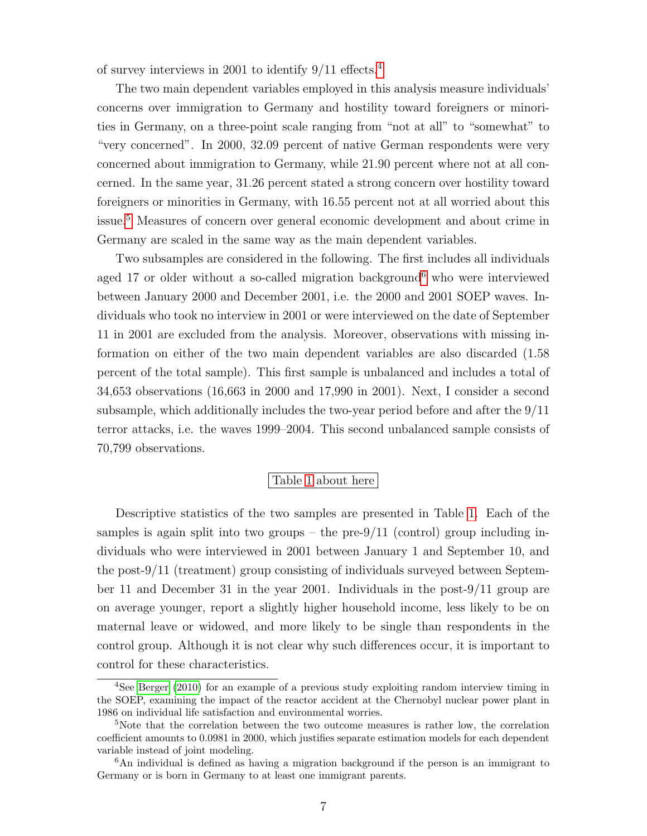of survey interviews in 2001 to identify 9/11 effects.[4](#page-8-0)

The two main dependent variables employed in this analysis measure individuals' concerns over immigration to Germany and hostility toward foreigners or minorities in Germany, on a three-point scale ranging from "not at all" to "somewhat" to "very concerned". In 2000, 32.09 percent of native German respondents were very concerned about immigration to Germany, while 21.90 percent where not at all concerned. In the same year, 31.26 percent stated a strong concern over hostility toward foreigners or minorities in Germany, with 16.55 percent not at all worried about this issue.[5](#page-8-1) Measures of concern over general economic development and about crime in Germany are scaled in the same way as the main dependent variables.

Two subsamples are considered in the following. The first includes all individuals aged 17 or older without a so-called migration background<sup>[6](#page-8-2)</sup> who were interviewed between January 2000 and December 2001, i.e. the 2000 and 2001 SOEP waves. Individuals who took no interview in 2001 or were interviewed on the date of September 11 in 2001 are excluded from the analysis. Moreover, observations with missing information on either of the two main dependent variables are also discarded (1.58 percent of the total sample). This first sample is unbalanced and includes a total of 34,653 observations (16,663 in 2000 and 17,990 in 2001). Next, I consider a second subsample, which additionally includes the two-year period before and after the 9/11 terror attacks, i.e. the waves 1999–2004. This second unbalanced sample consists of 70,799 observations.

#### Table [1](#page-19-0) about here

Descriptive statistics of the two samples are presented in Table [1.](#page-19-0) Each of the samples is again split into two groups – the pre- $9/11$  (control) group including individuals who were interviewed in 2001 between January 1 and September 10, and the post-9/11 (treatment) group consisting of individuals surveyed between September 11 and December 31 in the year 2001. Individuals in the post-9/11 group are on average younger, report a slightly higher household income, less likely to be on maternal leave or widowed, and more likely to be single than respondents in the control group. Although it is not clear why such differences occur, it is important to control for these characteristics.

<span id="page-8-0"></span><sup>4</sup>See [Berger](#page-16-9) [\(2010\)](#page-16-9) for an example of a previous study exploiting random interview timing in the SOEP, examining the impact of the reactor accident at the Chernobyl nuclear power plant in 1986 on individual life satisfaction and environmental worries.

<span id="page-8-1"></span><sup>&</sup>lt;sup>5</sup>Note that the correlation between the two outcome measures is rather low, the correlation coefficient amounts to 0.0981 in 2000, which justifies separate estimation models for each dependent variable instead of joint modeling.

<span id="page-8-2"></span> $6$ An individual is defined as having a migration background if the person is an immigrant to Germany or is born in Germany to at least one immigrant parents.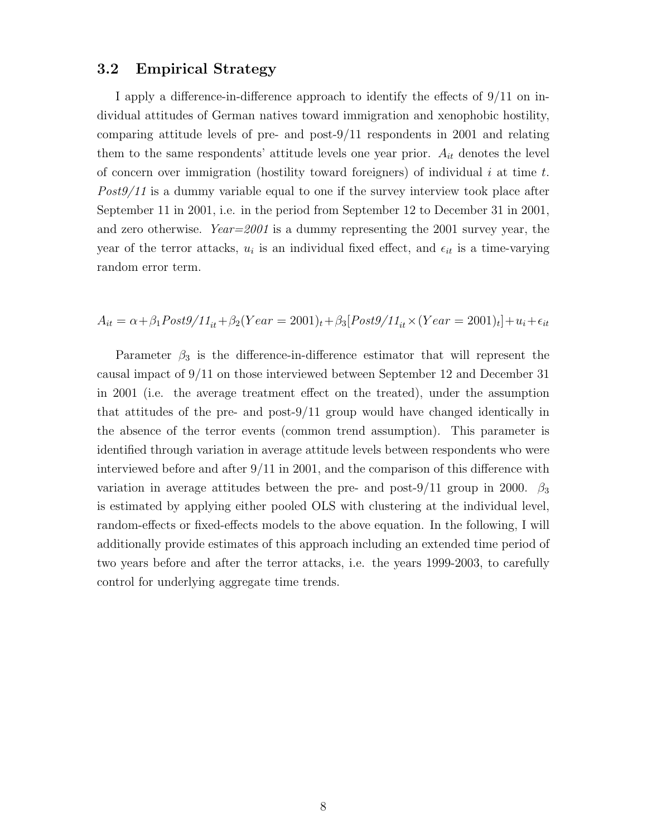#### 3.2 Empirical Strategy

I apply a difference-in-difference approach to identify the effects of 9/11 on individual attitudes of German natives toward immigration and xenophobic hostility, comparing attitude levels of pre- and post-9/11 respondents in 2001 and relating them to the same respondents' attitude levels one year prior.  $A_{it}$  denotes the level of concern over immigration (hostility toward foreigners) of individual  $i$  at time  $t$ . Post9/11 is a dummy variable equal to one if the survey interview took place after September 11 in 2001, i.e. in the period from September 12 to December 31 in 2001, and zero otherwise.  $Year=2001$  is a dummy representing the 2001 survey year, the year of the terror attacks,  $u_i$  is an individual fixed effect, and  $\epsilon_{it}$  is a time-varying random error term.

$$
A_{it} = \alpha + \beta_1 Post9/11_{it} + \beta_2 (Year = 2001)_t + \beta_3 [Post9/11_{it} \times (Year = 2001)_t] + u_i + \epsilon_{it}
$$

Parameter  $\beta_3$  is the difference-in-difference estimator that will represent the causal impact of 9/11 on those interviewed between September 12 and December 31 in 2001 (i.e. the average treatment effect on the treated), under the assumption that attitudes of the pre- and post-9/11 group would have changed identically in the absence of the terror events (common trend assumption). This parameter is identified through variation in average attitude levels between respondents who were interviewed before and after 9/11 in 2001, and the comparison of this difference with variation in average attitudes between the pre- and post-9/11 group in 2000.  $\beta_3$ is estimated by applying either pooled OLS with clustering at the individual level, random-effects or fixed-effects models to the above equation. In the following, I will additionally provide estimates of this approach including an extended time period of two years before and after the terror attacks, i.e. the years 1999-2003, to carefully control for underlying aggregate time trends.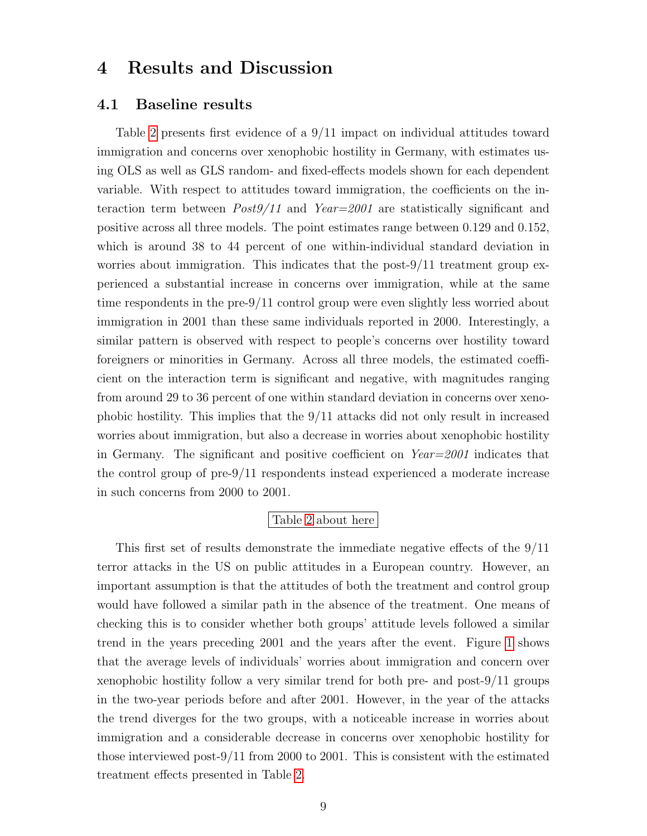# <span id="page-10-0"></span>4 Results and Discussion

#### <span id="page-10-1"></span>4.1 Baseline results

Table [2](#page-19-1) presents first evidence of a 9/11 impact on individual attitudes toward immigration and concerns over xenophobic hostility in Germany, with estimates using OLS as well as GLS random- and fixed-effects models shown for each dependent variable. With respect to attitudes toward immigration, the coefficients on the interaction term between  $Post9/11$  and  $Year=2001$  are statistically significant and positive across all three models. The point estimates range between 0.129 and 0.152, which is around 38 to 44 percent of one within-individual standard deviation in worries about immigration. This indicates that the post-9/11 treatment group experienced a substantial increase in concerns over immigration, while at the same time respondents in the pre-9/11 control group were even slightly less worried about immigration in 2001 than these same individuals reported in 2000. Interestingly, a similar pattern is observed with respect to people's concerns over hostility toward foreigners or minorities in Germany. Across all three models, the estimated coefficient on the interaction term is significant and negative, with magnitudes ranging from around 29 to 36 percent of one within standard deviation in concerns over xenophobic hostility. This implies that the 9/11 attacks did not only result in increased worries about immigration, but also a decrease in worries about xenophobic hostility in Germany. The significant and positive coefficient on  $Year=2001$  indicates that the control group of pre-9/11 respondents instead experienced a moderate increase in such concerns from 2000 to 2001.

#### Table [2](#page-19-1) about here

This first set of results demonstrate the immediate negative effects of the 9/11 terror attacks in the US on public attitudes in a European country. However, an important assumption is that the attitudes of both the treatment and control group would have followed a similar path in the absence of the treatment. One means of checking this is to consider whether both groups' attitude levels followed a similar trend in the years preceding 2001 and the years after the event. Figure [1](#page-20-0) shows that the average levels of individuals' worries about immigration and concern over xenophobic hostility follow a very similar trend for both pre- and post-9/11 groups in the two-year periods before and after 2001. However, in the year of the attacks the trend diverges for the two groups, with a noticeable increase in worries about immigration and a considerable decrease in concerns over xenophobic hostility for those interviewed post-9/11 from 2000 to 2001. This is consistent with the estimated treatment effects presented in Table [2.](#page-19-1)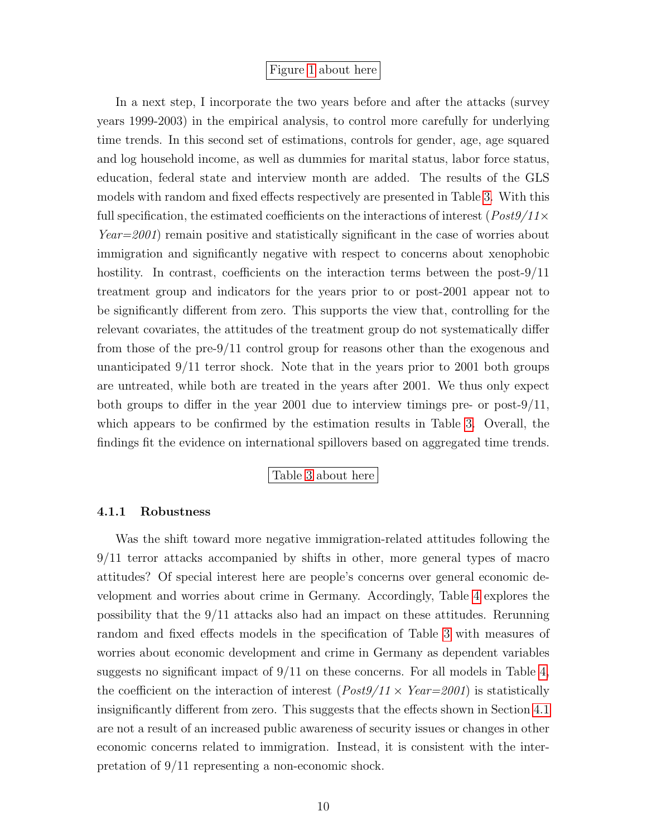#### Figure [1](#page-20-0) about here

In a next step, I incorporate the two years before and after the attacks (survey years 1999-2003) in the empirical analysis, to control more carefully for underlying time trends. In this second set of estimations, controls for gender, age, age squared and log household income, as well as dummies for marital status, labor force status, education, federal state and interview month are added. The results of the GLS models with random and fixed effects respectively are presented in Table [3.](#page-21-0) With this full specification, the estimated coefficients on the interactions of interest ( $Post9/11 \times$ Year=2001) remain positive and statistically significant in the case of worries about immigration and significantly negative with respect to concerns about xenophobic hostility. In contrast, coefficients on the interaction terms between the post-9/11 treatment group and indicators for the years prior to or post-2001 appear not to be significantly different from zero. This supports the view that, controlling for the relevant covariates, the attitudes of the treatment group do not systematically differ from those of the pre-9/11 control group for reasons other than the exogenous and unanticipated 9/11 terror shock. Note that in the years prior to 2001 both groups are untreated, while both are treated in the years after 2001. We thus only expect both groups to differ in the year 2001 due to interview timings pre- or post- $9/11$ , which appears to be confirmed by the estimation results in Table [3.](#page-21-0) Overall, the findings fit the evidence on international spillovers based on aggregated time trends.

#### Table [3](#page-21-0) about here

#### <span id="page-11-0"></span>4.1.1 Robustness

Was the shift toward more negative immigration-related attitudes following the 9/11 terror attacks accompanied by shifts in other, more general types of macro attitudes? Of special interest here are people's concerns over general economic development and worries about crime in Germany. Accordingly, Table [4](#page-22-0) explores the possibility that the 9/11 attacks also had an impact on these attitudes. Rerunning random and fixed effects models in the specification of Table [3](#page-21-0) with measures of worries about economic development and crime in Germany as dependent variables suggests no significant impact of  $9/11$  on these concerns. For all models in Table [4,](#page-22-0) the coefficient on the interaction of interest  $(Post9/11 \times Year=2001)$  is statistically insignificantly different from zero. This suggests that the effects shown in Section [4.1](#page-10-1) are not a result of an increased public awareness of security issues or changes in other economic concerns related to immigration. Instead, it is consistent with the interpretation of 9/11 representing a non-economic shock.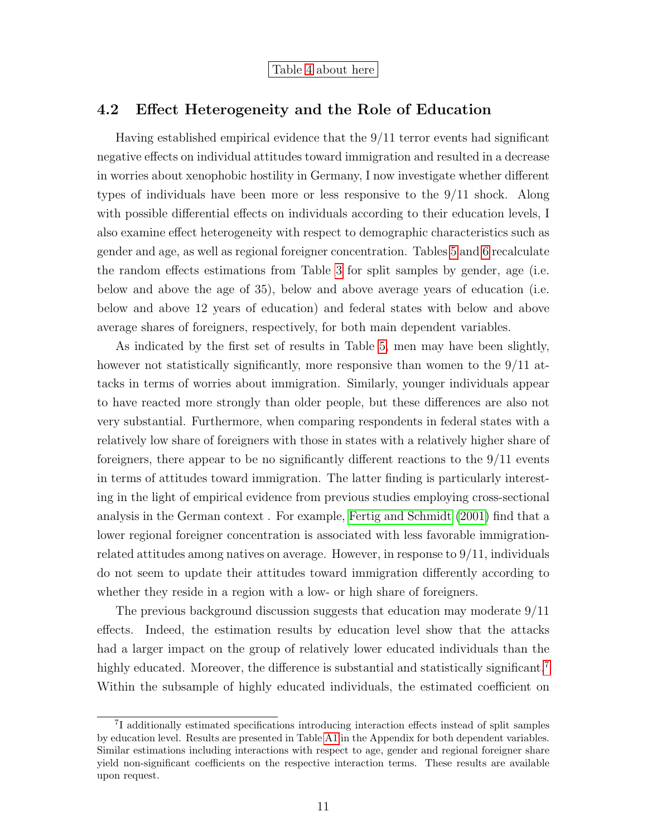Table [4](#page-22-0) about here

#### 4.2 Effect Heterogeneity and the Role of Education

Having established empirical evidence that the 9/11 terror events had significant negative effects on individual attitudes toward immigration and resulted in a decrease in worries about xenophobic hostility in Germany, I now investigate whether different types of individuals have been more or less responsive to the 9/11 shock. Along with possible differential effects on individuals according to their education levels, I also examine effect heterogeneity with respect to demographic characteristics such as gender and age, as well as regional foreigner concentration. Tables [5](#page-23-0) and [6](#page-24-0) recalculate the random effects estimations from Table [3](#page-21-0) for split samples by gender, age (i.e. below and above the age of 35), below and above average years of education (i.e. below and above 12 years of education) and federal states with below and above average shares of foreigners, respectively, for both main dependent variables.

As indicated by the first set of results in Table [5,](#page-23-0) men may have been slightly, however not statistically significantly, more responsive than women to the  $9/11$  attacks in terms of worries about immigration. Similarly, younger individuals appear to have reacted more strongly than older people, but these differences are also not very substantial. Furthermore, when comparing respondents in federal states with a relatively low share of foreigners with those in states with a relatively higher share of foreigners, there appear to be no significantly different reactions to the 9/11 events in terms of attitudes toward immigration. The latter finding is particularly interesting in the light of empirical evidence from previous studies employing cross-sectional analysis in the German context . For example, [Fertig and Schmidt](#page-17-10) [\(2001\)](#page-17-10) find that a lower regional foreigner concentration is associated with less favorable immigrationrelated attitudes among natives on average. However, in response to 9/11, individuals do not seem to update their attitudes toward immigration differently according to whether they reside in a region with a low- or high share of foreigners.

The previous background discussion suggests that education may moderate 9/11 effects. Indeed, the estimation results by education level show that the attacks had a larger impact on the group of relatively lower educated individuals than the highly educated. Moreover, the difference is substantial and statistically significant.<sup>[7](#page-12-0)</sup> Within the subsample of highly educated individuals, the estimated coefficient on

<span id="page-12-0"></span><sup>7</sup> I additionally estimated specifications introducing interaction effects instead of split samples by education level. Results are presented in Table [A1](#page-25-0) in the Appendix for both dependent variables. Similar estimations including interactions with respect to age, gender and regional foreigner share yield non-significant coefficients on the respective interaction terms. These results are available upon request.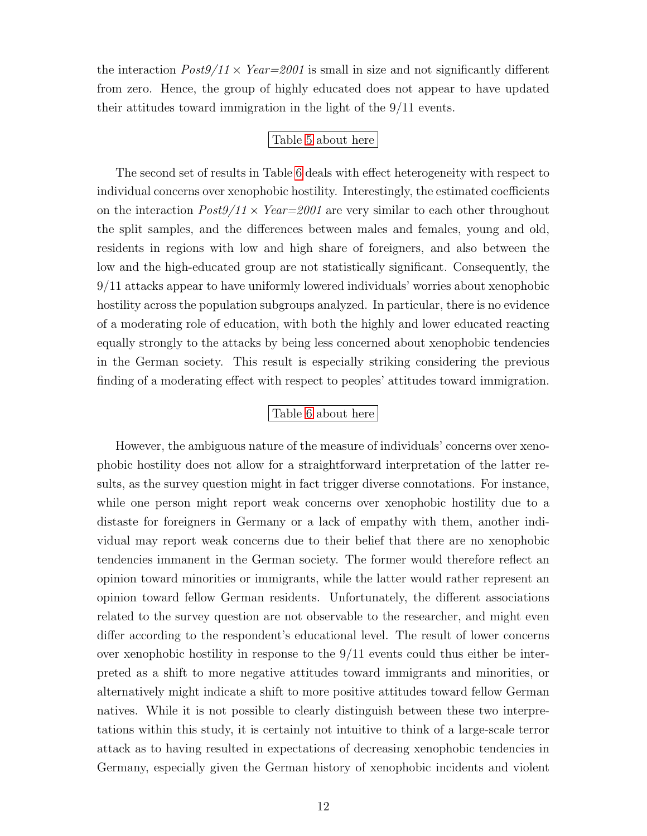the interaction  $Post9/11 \times Year = 2001$  is small in size and not significantly different from zero. Hence, the group of highly educated does not appear to have updated their attitudes toward immigration in the light of the 9/11 events.

#### Table [5](#page-23-0) about here

The second set of results in Table [6](#page-24-0) deals with effect heterogeneity with respect to individual concerns over xenophobic hostility. Interestingly, the estimated coefficients on the interaction  $Post9/11 \times Year = 2001$  are very similar to each other throughout the split samples, and the differences between males and females, young and old, residents in regions with low and high share of foreigners, and also between the low and the high-educated group are not statistically significant. Consequently, the 9/11 attacks appear to have uniformly lowered individuals' worries about xenophobic hostility across the population subgroups analyzed. In particular, there is no evidence of a moderating role of education, with both the highly and lower educated reacting equally strongly to the attacks by being less concerned about xenophobic tendencies in the German society. This result is especially striking considering the previous finding of a moderating effect with respect to peoples' attitudes toward immigration.

#### Table [6](#page-24-0) about here

However, the ambiguous nature of the measure of individuals' concerns over xenophobic hostility does not allow for a straightforward interpretation of the latter results, as the survey question might in fact trigger diverse connotations. For instance, while one person might report weak concerns over xenophobic hostility due to a distaste for foreigners in Germany or a lack of empathy with them, another individual may report weak concerns due to their belief that there are no xenophobic tendencies immanent in the German society. The former would therefore reflect an opinion toward minorities or immigrants, while the latter would rather represent an opinion toward fellow German residents. Unfortunately, the different associations related to the survey question are not observable to the researcher, and might even differ according to the respondent's educational level. The result of lower concerns over xenophobic hostility in response to the 9/11 events could thus either be interpreted as a shift to more negative attitudes toward immigrants and minorities, or alternatively might indicate a shift to more positive attitudes toward fellow German natives. While it is not possible to clearly distinguish between these two interpretations within this study, it is certainly not intuitive to think of a large-scale terror attack as to having resulted in expectations of decreasing xenophobic tendencies in Germany, especially given the German history of xenophobic incidents and violent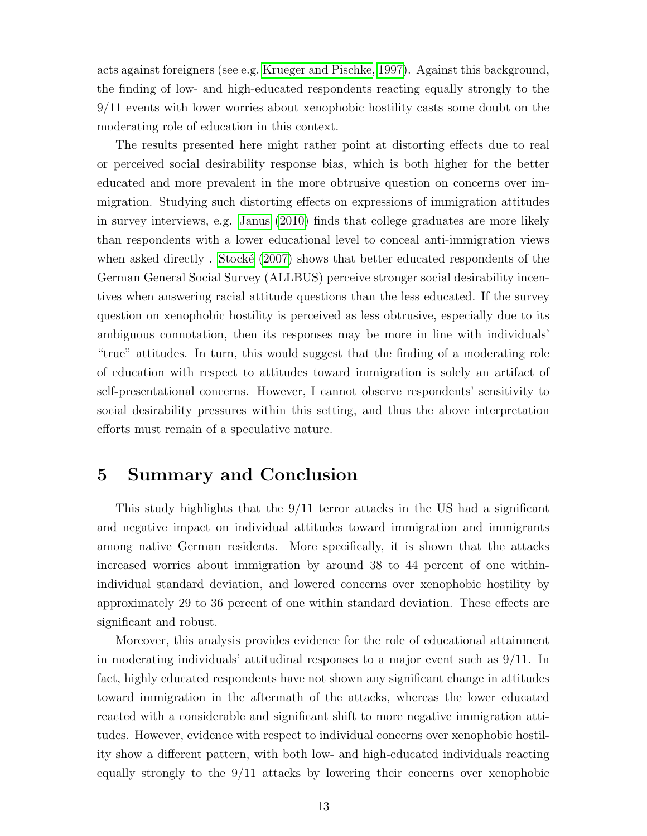acts against foreigners (see e.g. [Krueger and Pischke, 1997\)](#page-18-7). Against this background, the finding of low- and high-educated respondents reacting equally strongly to the 9/11 events with lower worries about xenophobic hostility casts some doubt on the moderating role of education in this context.

The results presented here might rather point at distorting effects due to real or perceived social desirability response bias, which is both higher for the better educated and more prevalent in the more obtrusive question on concerns over immigration. Studying such distorting effects on expressions of immigration attitudes in survey interviews, e.g. [Janus](#page-17-11) [\(2010\)](#page-17-11) finds that college graduates are more likely than respondents with a lower educational level to conceal anti-immigration views when asked directly . Stocké  $(2007)$  shows that better educated respondents of the German General Social Survey (ALLBUS) perceive stronger social desirability incentives when answering racial attitude questions than the less educated. If the survey question on xenophobic hostility is perceived as less obtrusive, especially due to its ambiguous connotation, then its responses may be more in line with individuals' "true" attitudes. In turn, this would suggest that the finding of a moderating role of education with respect to attitudes toward immigration is solely an artifact of self-presentational concerns. However, I cannot observe respondents' sensitivity to social desirability pressures within this setting, and thus the above interpretation efforts must remain of a speculative nature.

## <span id="page-14-0"></span>5 Summary and Conclusion

This study highlights that the 9/11 terror attacks in the US had a significant and negative impact on individual attitudes toward immigration and immigrants among native German residents. More specifically, it is shown that the attacks increased worries about immigration by around 38 to 44 percent of one withinindividual standard deviation, and lowered concerns over xenophobic hostility by approximately 29 to 36 percent of one within standard deviation. These effects are significant and robust.

Moreover, this analysis provides evidence for the role of educational attainment in moderating individuals' attitudinal responses to a major event such as  $9/11$ . In fact, highly educated respondents have not shown any significant change in attitudes toward immigration in the aftermath of the attacks, whereas the lower educated reacted with a considerable and significant shift to more negative immigration attitudes. However, evidence with respect to individual concerns over xenophobic hostility show a different pattern, with both low- and high-educated individuals reacting equally strongly to the 9/11 attacks by lowering their concerns over xenophobic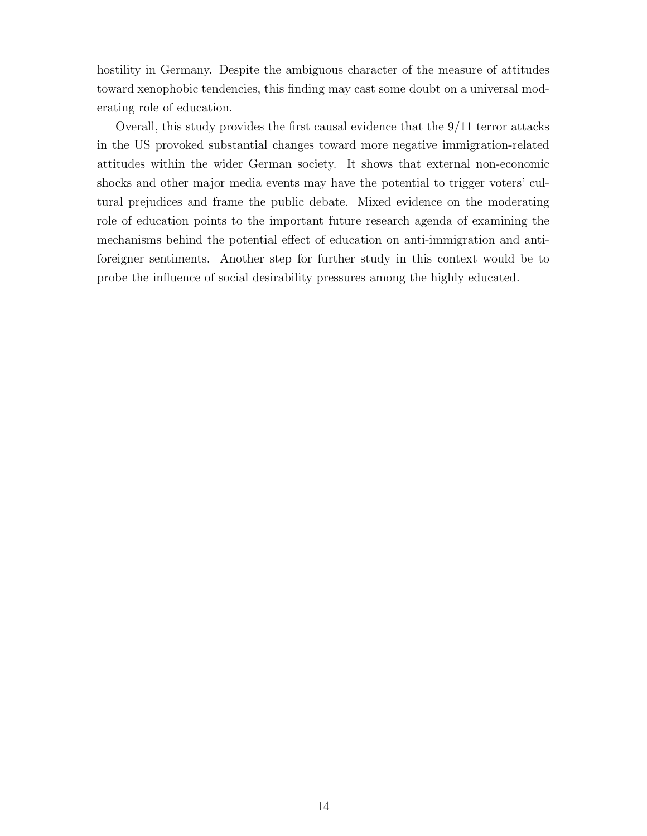hostility in Germany. Despite the ambiguous character of the measure of attitudes toward xenophobic tendencies, this finding may cast some doubt on a universal moderating role of education.

Overall, this study provides the first causal evidence that the 9/11 terror attacks in the US provoked substantial changes toward more negative immigration-related attitudes within the wider German society. It shows that external non-economic shocks and other major media events may have the potential to trigger voters' cultural prejudices and frame the public debate. Mixed evidence on the moderating role of education points to the important future research agenda of examining the mechanisms behind the potential effect of education on anti-immigration and antiforeigner sentiments. Another step for further study in this context would be to probe the influence of social desirability pressures among the highly educated.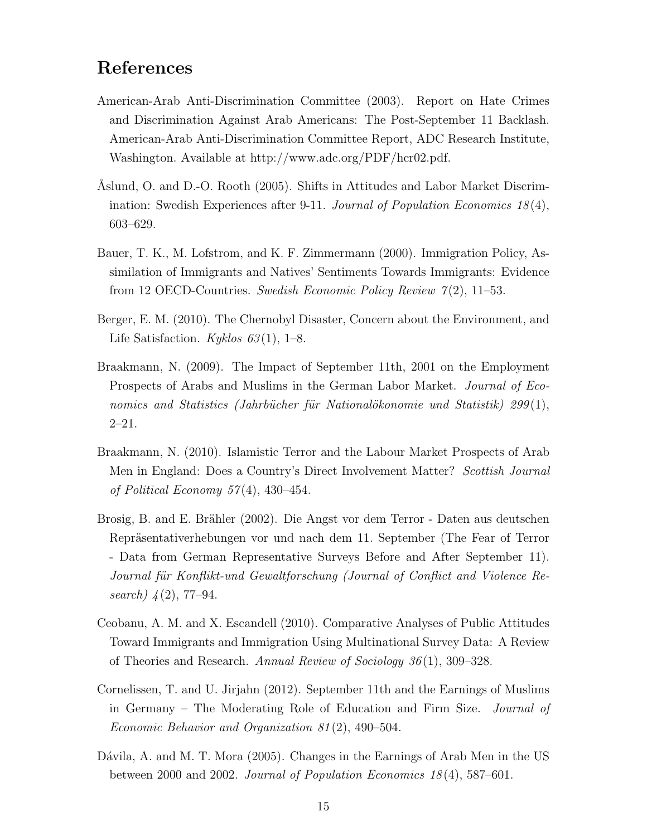# References

- <span id="page-16-7"></span>American-Arab Anti-Discrimination Committee (2003). Report on Hate Crimes and Discrimination Against Arab Americans: The Post-September 11 Backlash. American-Arab Anti-Discrimination Committee Report, ADC Research Institute, Washington. Available at http://www.adc.org/PDF/hcr02.pdf.
- <span id="page-16-2"></span>Aslund, O. and D.-O. Rooth (2005). Shifts in Attitudes and Labor Market Discrimination: Swedish Experiences after 9-11. Journal of Population Economics  $18(4)$ , 603–629.
- <span id="page-16-5"></span>Bauer, T. K., M. Lofstrom, and K. F. Zimmermann (2000). Immigration Policy, Assimilation of Immigrants and Natives' Sentiments Towards Immigrants: Evidence from 12 OECD-Countries. Swedish Economic Policy Review  $7(2)$ , 11–53.
- <span id="page-16-9"></span>Berger, E. M. (2010). The Chernobyl Disaster, Concern about the Environment, and Life Satisfaction. Kyklos  $63(1)$ , 1–8.
- <span id="page-16-3"></span>Braakmann, N. (2009). The Impact of September 11th, 2001 on the Employment Prospects of Arabs and Muslims in the German Labor Market. Journal of Economics and Statistics (Jahrbücher für Nationalökonomie und Statistik) 299 $(1)$ , 2–21.
- <span id="page-16-1"></span>Braakmann, N. (2010). Islamistic Terror and the Labour Market Prospects of Arab Men in England: Does a Country's Direct Involvement Matter? Scottish Journal of Political Economy  $57(4)$ ,  $430-454$ .
- <span id="page-16-8"></span>Brosig, B. and E. Brähler (2002). Die Angst vor dem Terror - Daten aus deutschen Repräsentativerhebungen vor und nach dem 11. September (The Fear of Terror - Data from German Representative Surveys Before and After September 11). Journal für Konflikt-und Gewaltforschung (Journal of Conflict and Violence Research)  $\frac{4(2)}{77-94}$ .
- <span id="page-16-6"></span>Ceobanu, A. M. and X. Escandell (2010). Comparative Analyses of Public Attitudes Toward Immigrants and Immigration Using Multinational Survey Data: A Review of Theories and Research. Annual Review of Sociology 36 (1), 309–328.
- <span id="page-16-4"></span>Cornelissen, T. and U. Jirjahn (2012). September 11th and the Earnings of Muslims in Germany – The Moderating Role of Education and Firm Size. Journal of Economic Behavior and Organization 81 (2), 490–504.
- <span id="page-16-0"></span>Dávila, A. and M. T. Mora (2005). Changes in the Earnings of Arab Men in the US between 2000 and 2002. Journal of Population Economics  $18(4)$ , 587–601.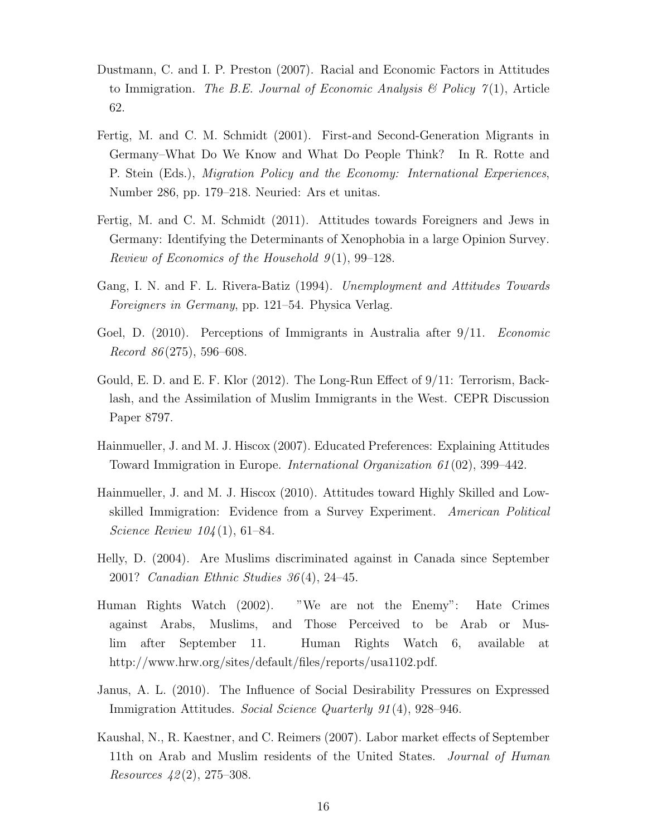- <span id="page-17-2"></span>Dustmann, C. and I. P. Preston (2007). Racial and Economic Factors in Attitudes to Immigration. The B.E. Journal of Economic Analysis & Policy  $\gamma(1)$ , Article 62.
- <span id="page-17-10"></span>Fertig, M. and C. M. Schmidt (2001). First-and Second-Generation Migrants in Germany–What Do We Know and What Do People Think? In R. Rotte and P. Stein (Eds.), Migration Policy and the Economy: International Experiences, Number 286, pp. 179–218. Neuried: Ars et unitas.
- <span id="page-17-9"></span>Fertig, M. and C. M. Schmidt (2011). Attitudes towards Foreigners and Jews in Germany: Identifying the Determinants of Xenophobia in a large Opinion Survey. Review of Economics of the Household  $9(1)$ , 99–128.
- <span id="page-17-8"></span>Gang, I. N. and F. L. Rivera-Batiz (1994). Unemployment and Attitudes Towards Foreigners in Germany, pp. 121–54. Physica Verlag.
- <span id="page-17-1"></span>Goel, D. (2010). Perceptions of Immigrants in Australia after 9/11. *Economic*  $Record 86 (275), 596–608.$
- <span id="page-17-6"></span>Gould, E. D. and E. F. Klor (2012). The Long-Run Effect of 9/11: Terrorism, Backlash, and the Assimilation of Muslim Immigrants in the West. CEPR Discussion Paper 8797.
- <span id="page-17-3"></span>Hainmueller, J. and M. J. Hiscox (2007). Educated Preferences: Explaining Attitudes Toward Immigration in Europe. International Organization 61 (02), 399–442.
- <span id="page-17-4"></span>Hainmueller, J. and M. J. Hiscox (2010). Attitudes toward Highly Skilled and Lowskilled Immigration: Evidence from a Survey Experiment. American Political Science Review 104 (1), 61–84.
- <span id="page-17-7"></span>Helly, D. (2004). Are Muslims discriminated against in Canada since September 2001? Canadian Ethnic Studies 36 (4), 24–45.
- <span id="page-17-5"></span>Human Rights Watch (2002). "We are not the Enemy": Hate Crimes against Arabs, Muslims, and Those Perceived to be Arab or Muslim after September 11. Human Rights Watch 6, available at http://www.hrw.org/sites/default/files/reports/usa1102.pdf.
- <span id="page-17-11"></span>Janus, A. L. (2010). The Influence of Social Desirability Pressures on Expressed Immigration Attitudes. Social Science Quarterly 91 (4), 928–946.
- <span id="page-17-0"></span>Kaushal, N., R. Kaestner, and C. Reimers (2007). Labor market effects of September 11th on Arab and Muslim residents of the United States. *Journal of Human* Resources  $42(2)$ , 275–308.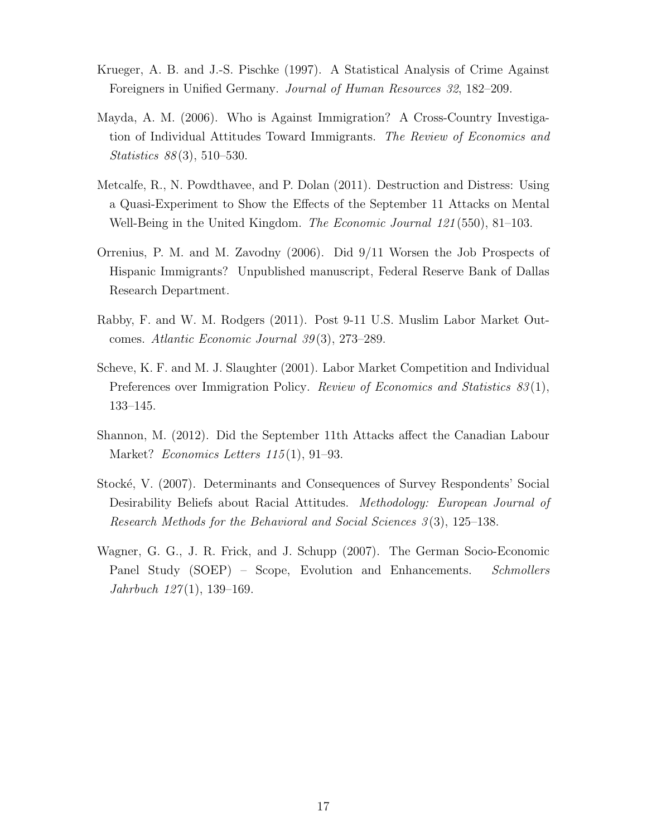- <span id="page-18-7"></span>Krueger, A. B. and J.-S. Pischke (1997). A Statistical Analysis of Crime Against Foreigners in Unified Germany. Journal of Human Resources 32, 182–209.
- <span id="page-18-4"></span>Mayda, A. M. (2006). Who is Against Immigration? A Cross-Country Investigation of Individual Attitudes Toward Immigrants. The Review of Economics and Statistics 88 (3), 510–530.
- <span id="page-18-5"></span>Metcalfe, R., N. Powdthavee, and P. Dolan (2011). Destruction and Distress: Using a Quasi-Experiment to Show the Effects of the September 11 Attacks on Mental Well-Being in the United Kingdom. The Economic Journal 121(550), 81–103.
- <span id="page-18-0"></span>Orrenius, P. M. and M. Zavodny (2006). Did 9/11 Worsen the Job Prospects of Hispanic Immigrants? Unpublished manuscript, Federal Reserve Bank of Dallas Research Department.
- <span id="page-18-1"></span>Rabby, F. and W. M. Rodgers (2011). Post 9-11 U.S. Muslim Labor Market Outcomes. Atlantic Economic Journal 39 (3), 273–289.
- <span id="page-18-3"></span>Scheve, K. F. and M. J. Slaughter (2001). Labor Market Competition and Individual Preferences over Immigration Policy. *Review of Economics and Statistics 83*(1), 133–145.
- <span id="page-18-2"></span>Shannon, M. (2012). Did the September 11th Attacks affect the Canadian Labour Market? *Economics Letters*  $115(1)$ , 91–93.
- <span id="page-18-8"></span>Stock´e, V. (2007). Determinants and Consequences of Survey Respondents' Social Desirability Beliefs about Racial Attitudes. Methodology: European Journal of Research Methods for the Behavioral and Social Sciences 3 (3), 125–138.
- <span id="page-18-6"></span>Wagner, G. G., J. R. Frick, and J. Schupp (2007). The German Socio-Economic Panel Study (SOEP) – Scope, Evolution and Enhancements. Schmollers  $Jahrbuch 127(1), 139-169.$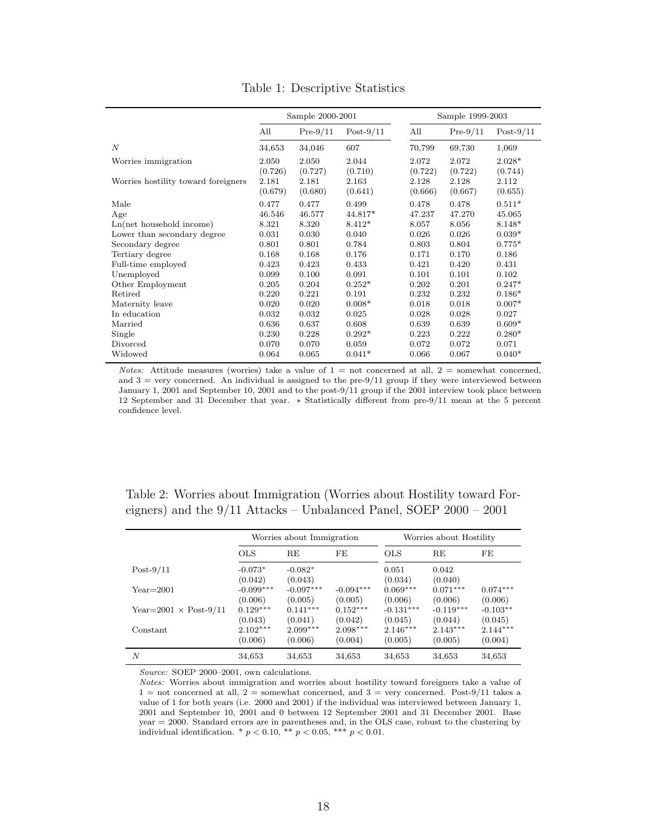<span id="page-19-0"></span>

|                                     |                             | Sample 2000-2001            |                             |                             | Sample 1999-2003            |                             |
|-------------------------------------|-----------------------------|-----------------------------|-----------------------------|-----------------------------|-----------------------------|-----------------------------|
|                                     | All                         | $Pre-9/11$                  | $Post-9/11$                 | All                         | $Pre-9/11$                  | $Post-9/11$                 |
| $\boldsymbol{N}$                    | 34,653                      | 34,046                      | 607                         | 70,799                      | 69,730                      | 1,069                       |
| Worries immigration                 | 2.050                       | 2.050                       | 2.044                       | 2.072                       | 2.072                       | $2.028*$                    |
| Worries hostility toward foreigners | (0.726)<br>2.181<br>(0.679) | (0.727)<br>2.181<br>(0.680) | (0.710)<br>2.163<br>(0.641) | (0.722)<br>2.128<br>(0.666) | (0.722)<br>2.128<br>(0.667) | (0.744)<br>2.112<br>(0.655) |
| Male                                | 0.477                       | 0.477                       | 0.499                       | 0.478                       | 0.478                       | $0.511*$                    |
| Age                                 | 46.546                      | 46.577                      | 44.817*                     | 47.237                      | 47.270                      | 45.065                      |
| $Ln(net$ household income)          | 8.321                       | 8.320                       | $8.412*$                    | 8.057                       | 8.056                       | $8.148*$                    |
| Lower than secondary degree         | 0.031                       | 0.030                       | 0.040                       | 0.026                       | 0.026                       | $0.039*$                    |
| Secondary degree                    | 0.801                       | 0.801                       | 0.784                       | 0.803                       | 0.804                       | $0.775*$                    |
| Tertiary degree                     | 0.168                       | 0.168                       | 0.176                       | 0.171                       | 0.170                       | 0.186                       |
| Full-time employed                  | 0.423                       | 0.423                       | 0.433                       | 0.421                       | 0.420                       | 0.431                       |
| Unemployed                          | 0.099                       | 0.100                       | 0.091                       | 0.101                       | 0.101                       | 0.102                       |
| Other Employment                    | 0.205                       | 0.204                       | $0.252*$                    | 0.202                       | 0.201                       | $0.247*$                    |
| Retired                             | 0.220                       | 0.221                       | 0.191                       | 0.232                       | 0.232                       | $0.186*$                    |
| Maternity leave                     | 0.020                       | 0.020                       | $0.008*$                    | 0.018                       | 0.018                       | $0.007*$                    |
| In education                        | 0.032                       | 0.032                       | 0.025                       | 0.028                       | 0.028                       | 0.027                       |
| Married                             | 0.636                       | 0.637                       | 0.608                       | 0.639                       | 0.639                       | $0.609*$                    |
| Single                              | 0.230                       | 0.228                       | $0.292*$                    | 0.223                       | 0.222                       | $0.280*$                    |
| Divorced                            | 0.070                       | 0.070                       | 0.059                       | 0.072                       | 0.072                       | 0.071                       |
| Widowed                             | 0.064                       | 0.065                       | $0.041*$                    | 0.066                       | 0.067                       | $0.040*$                    |

Table 1: Descriptive Statistics

Notes: Attitude measures (worries) take a value of  $1 =$  not concerned at all,  $2 =$  somewhat concerned, and  $3 =$  very concerned. An individual is assigned to the pre- $9/11$  group if they were interviewed between January 1, 2001 and September 10, 2001 and to the post-9/11 group if the 2001 interview took place between 12 September and 31 December that year. ∗ Statistically different from pre-9/11 mean at the 5 percent confidence level.

<span id="page-19-1"></span>Table 2: Worries about Immigration (Worries about Hostility toward Foreigners) and the 9/11 Attacks – Unbalanced Panel, SOEP 2000 – 2001

|                                  |                        | Worries about Immigration |                        |                        | Worries about Hostility |                       |
|----------------------------------|------------------------|---------------------------|------------------------|------------------------|-------------------------|-----------------------|
|                                  | <b>OLS</b>             | RE                        | FE                     | <b>OLS</b>             | RE                      | FE                    |
| $Post-9/11$                      | $-0.073*$<br>(0.042)   | $-0.082*$<br>(0.043)      |                        | 0.051<br>(0.034)       | 0.042<br>(0.040)        |                       |
| $Year=2001$                      | $-0.099***$<br>(0.006) | $-0.097***$<br>(0.005)    | $-0.094***$<br>(0.005) | $0.069***$<br>(0.006)  | $0.071***$<br>(0.006)   | $0.074***$<br>(0.006) |
| Year= $2001 \times$ Post- $9/11$ | $0.129***$<br>(0.043)  | $0.141***$<br>(0.041)     | $0.152***$<br>(0.042)  | $-0.131***$<br>(0.045) | $-0.119***$<br>(0.044)  | $-0.103**$<br>(0.045) |
| Constant                         | $2.102***$<br>(0.006)  | $2.099***$<br>(0.006)     | $2.098***$<br>(0.004)  | $2.146***$<br>(0.005)  | $2.143***$<br>(0.005)   | $2.144***$<br>(0.004) |
| N                                | 34,653                 | 34,653                    | 34,653                 | 34,653                 | 34,653                  | 34,653                |

Source: SOEP 2000-2001, own calculations.

Notes: Worries about immigration and worries about hostility toward foreigners take a value of  $1 =$  not concerned at all,  $2 =$  somewhat concerned, and  $3 =$  very concerned. Post-9/11 takes a value of 1 for both years (i.e. 2000 and 2001) if the individual was interviewed between January 1, 2001 and September 10, 2001 and 0 between 12 September 2001 and 31 December 2001. Base year = 2000. Standard errors are in parentheses and, in the OLS case, robust to the clustering by individual identification. \*  $p < 0.10$ , \*\*  $p < 0.05$ , \*\*\*  $p < 0.01$ .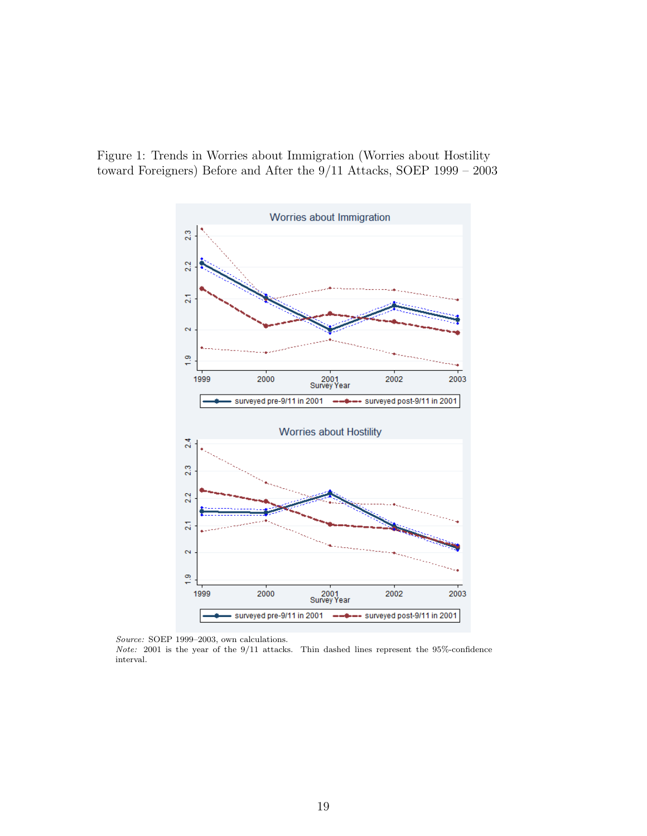<span id="page-20-0"></span>Figure 1: Trends in Worries about Immigration (Worries about Hostility toward Foreigners) Before and After the 9/11 Attacks, SOEP 1999 – 2003



Source: SOEP 1999–2003, own calculations.

Note: 2001 is the year of the 9/11 attacks. Thin dashed lines represent the 95%-confidence interval.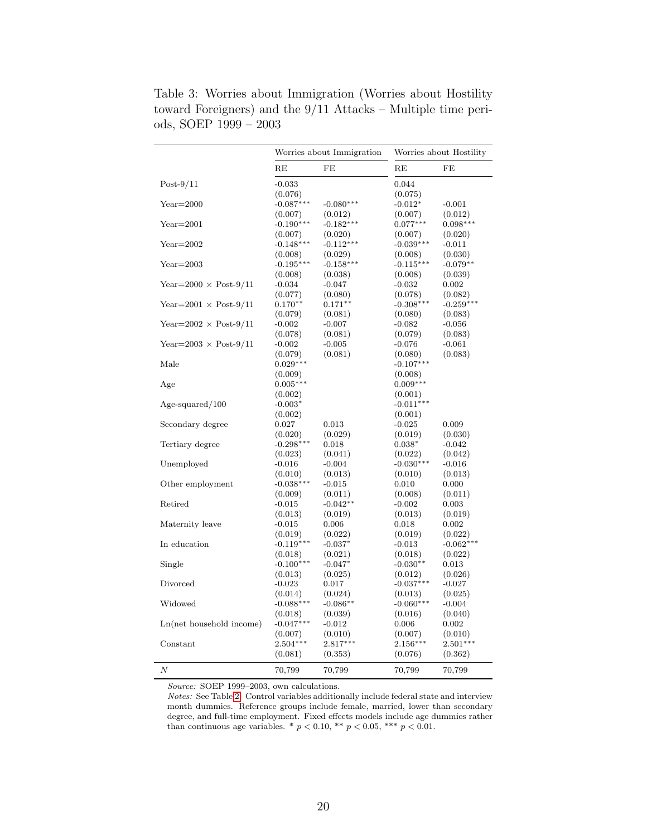|                                  |             | Worries about Immigration |             | Worries about Hostility |
|----------------------------------|-------------|---------------------------|-------------|-------------------------|
|                                  | RE          | FE                        | RE          | FE                      |
| $Post-9/11$                      | $-0.033$    |                           | 0.044       |                         |
|                                  | (0.076)     |                           | (0.075)     |                         |
| $Year=2000$                      | $-0.087***$ | $-0.080***$               | $-0.012*$   | $-0.001$                |
|                                  | (0.007)     | (0.012)                   | (0.007)     | (0.012)                 |
| $Year=2001$                      | $-0.190***$ | $-0.182***$               | $0.077***$  | $0.098***$              |
|                                  | (0.007)     | (0.020)                   | (0.007)     | (0.020)                 |
| $Year=2002$                      | $-0.148***$ | $-0.112***$               | $-0.039***$ | $-0.011$                |
|                                  | (0.008)     | (0.029)                   | (0.008)     | (0.030)                 |
| $Year=2003$                      | $-0.195***$ | $-0.158***$               | $-0.115***$ | $-0.079**$              |
|                                  | (0.008)     | (0.038)                   | (0.008)     | (0.039)                 |
| Year= $2000 \times$ Post- $9/11$ | $-0.034$    | $-0.047$                  | $-0.032$    | 0.002                   |
|                                  | (0.077)     | (0.080)                   | (0.078)     | (0.082)                 |
| Year= $2001 \times$ Post-9/11    | $0.170**$   | $0.171**$                 | $-0.308***$ | $-0.259***$             |
|                                  | (0.079)     | (0.081)                   | (0.080)     | (0.083)                 |
| Year= $2002 \times$ Post- $9/11$ | $-0.002$    | $-0.007$                  | $-0.082$    | $-0.056$                |
|                                  | (0.078)     | (0.081)                   | (0.079)     | (0.083)                 |
| Year= $2003 \times$ Post- $9/11$ | $-0.002$    | $-0.005$                  | $-0.076$    | $-0.061$                |
|                                  | (0.079)     | (0.081)                   | (0.080)     | (0.083)                 |
| Male                             | $0.029***$  |                           | $-0.107***$ |                         |
|                                  | (0.009)     |                           | (0.008)     |                         |
| Age                              | $0.005***$  |                           | $0.009***$  |                         |
|                                  | (0.002)     |                           | (0.001)     |                         |
| $Age\text{-}squared/100$         | $-0.003*$   |                           | $-0.011***$ |                         |
|                                  | (0.002)     |                           | (0.001)     |                         |
| Secondary degree                 | 0.027       | 0.013                     | $-0.025$    | 0.009                   |
|                                  | (0.020)     | (0.029)                   | (0.019)     | (0.030)                 |
| Tertiary degree                  | $-0.298***$ | 0.018                     | $0.038*$    | $-0.042$                |
|                                  | (0.023)     | (0.041)                   | (0.022)     | (0.042)                 |
| Unemployed                       | $-0.016$    | $-0.004$                  | $-0.030***$ | $-0.016$                |
|                                  | (0.010)     | (0.013)                   | (0.010)     | (0.013)                 |
| Other employment                 | $-0.038***$ | $-0.015$                  | 0.010       | 0.000                   |
|                                  | (0.009)     | (0.011)                   | (0.008)     | (0.011)                 |
| Retired                          | $-0.015$    | $-0.042**$                | $-0.002$    | 0.003                   |
|                                  | (0.013)     | (0.019)                   | (0.013)     | (0.019)                 |
| Maternity leave                  | $-0.015$    | 0.006                     | 0.018       | 0.002                   |
|                                  | (0.019)     | (0.022)                   | (0.019)     | (0.022)                 |
| In education                     | $-0.119***$ | $-0.037*$                 | $-0.013$    | $-0.062***$             |
|                                  | (0.018)     | (0.021)                   | (0.018)     | (0.022)                 |
| Single                           | $-0.100***$ | $-0.047*$                 | $-0.030**$  | 0.013                   |
|                                  | (0.013)     | (0.025)                   | (0.012)     | (0.026)                 |
| Divorced                         | $-0.023$    | 0.017                     | $-0.037***$ | $-0.027$                |
|                                  | (0.014)     | (0.024)                   | (0.013)     | (0.025)                 |
| Widowed                          | $-0.088***$ | $-0.086**$                | $-0.060***$ | $-0.004$                |
|                                  | (0.018)     | (0.039)                   | (0.016)     | (0.040)                 |
| $Ln(net$ household income)       | $-0.047***$ | $-0.012$                  | 0.006       | 0.002                   |
|                                  | (0.007)     | (0.010)                   | (0.007)     | (0.010)                 |
| Constant                         | $2.504***$  | $2.817***$                | $2.156***$  | $2.501***$              |
|                                  | (0.081)     | (0.353)                   | (0.076)     | (0.362)                 |
| N                                | 70,799      | 70,799                    | 70,799      | 70,799                  |

<span id="page-21-0"></span>Table 3: Worries about Immigration (Worries about Hostility toward Foreigners) and the 9/11 Attacks – Multiple time periods, SOEP 1999 – 2003

Source: SOEP 1999–2003, own calculations.

Notes: See Table [2.](#page-19-1) Control variables additionally include federal state and interview month dummies. Reference groups include female, married, lower than secondary degree, and full-time employment. Fixed effects models include age dummies rather than continuous age variables. \*  $p < 0.10$ , \*\*  $p < 0.05$ , \*\*\*  $p < 0.01$ .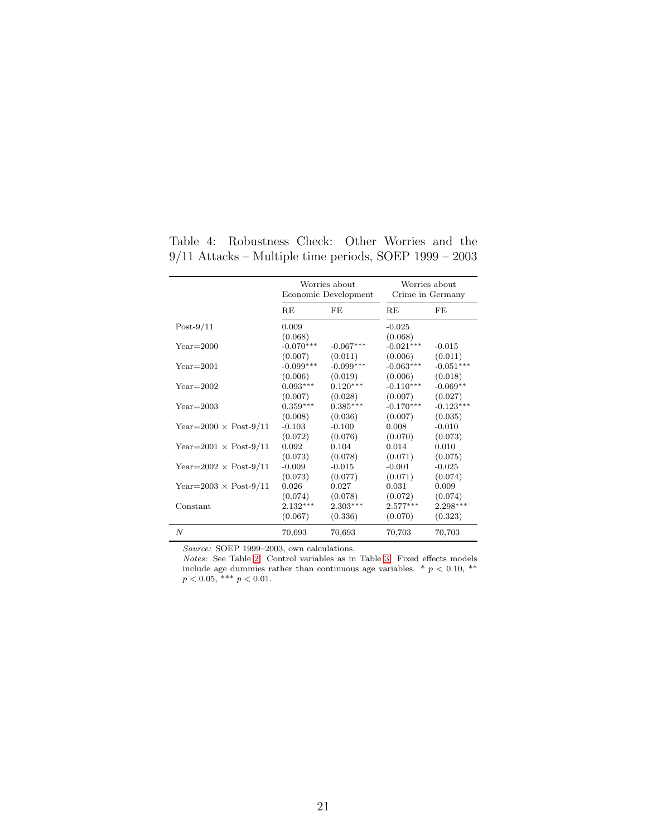|                                  |                  | Worries about<br>Economic Development |                     | Worries about<br>Crime in Germany |
|----------------------------------|------------------|---------------------------------------|---------------------|-----------------------------------|
|                                  | RE               | FE                                    | RE                  | FE                                |
| $Post-9/11$                      | 0.009<br>(0.068) |                                       | $-0.025$<br>(0.068) |                                   |
| $Year=2000$                      | $-0.070***$      | $-0.067***$                           | $-0.021***$         | $-0.015$                          |
|                                  | (0.007)          | (0.011)                               | (0.006)             | (0.011)                           |
| $Year=2001$                      | $-0.099***$      | $-0.099***$                           | $-0.063***$         | $-0.051***$                       |
|                                  | (0.006)          | (0.019)                               | (0.006)             | (0.018)                           |
| $Year = 2002$                    | $0.093***$       | $0.120***$                            | $-0.110***$         | $-0.069**$                        |
|                                  | (0.007)          | (0.028)                               | (0.007)             | (0.027)                           |
| $Year = 2003$                    | $0.359***$       | $0.385***$                            | $-0.170***$         | $-0.123***$                       |
|                                  | (0.008)          | (0.036)                               | (0.007)             | (0.035)                           |
| Year= $2000 \times$ Post- $9/11$ | $-0.103$         | $-0.100$                              | 0.008               | $-0.010$                          |
|                                  | (0.072)          | (0.076)                               | (0.070)             | (0.073)                           |
| Year= $2001 \times$ Post-9/11    | 0.092            | 0.104                                 | 0.014               | 0.010                             |
|                                  | (0.073)          | (0.078)                               | (0.071)             | (0.075)                           |
| Year= $2002 \times$ Post-9/11    | $-0.009$         | $-0.015$                              | $-0.001$            | $-0.025$                          |
|                                  | (0.073)          | (0.077)                               | (0.071)             | (0.074)                           |
| Year= $2003 \times$ Post-9/11    | 0.026            | 0.027                                 | 0.031               | 0.009                             |
|                                  | (0.074)          | (0.078)                               | (0.072)             | (0.074)                           |
| Constant                         | $2.132***$       | $2.303***$                            | $2.577***$          | $2.298***$                        |
|                                  | (0.067)          | (0.336)                               | (0.070)             | (0.323)                           |
| $\boldsymbol{N}$                 | 70,693           | 70,693                                | 70,703              | 70,703                            |

<span id="page-22-0"></span>Table 4: Robustness Check: Other Worries and the 9/11 Attacks – Multiple time periods, SOEP 1999 – 2003

Source: SOEP 1999-2003, own calculations.

Notes: See Table [2.](#page-19-1) Control variables as in Table [3.](#page-21-0) Fixed effects models include age dummies rather than continuous age variables.  $*$   $p$  < 0.10,  $**$  $p < 0.05$ , \*\*\*  $p < 0.01$ .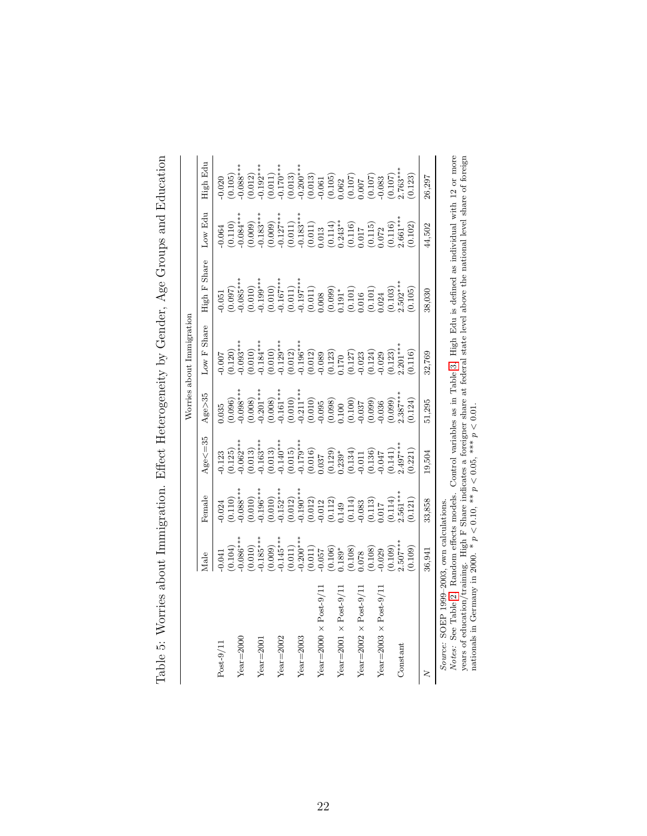<span id="page-23-0"></span>

|                                                                                 |                                                                                                                                                                                                                                                                                                                                   |                                                                                                                                                                                                                                                                                              |                                                                                                                                                                                                                                                                                                                                      |                                                                                                                                                                                                                                                                                              | Worries about Immigration                                                                                                                                                                                                                                                                                       |                                                                                                                                                                                                                                                                                              |                                                                                                                                                                                                                                                                                                               |          |
|---------------------------------------------------------------------------------|-----------------------------------------------------------------------------------------------------------------------------------------------------------------------------------------------------------------------------------------------------------------------------------------------------------------------------------|----------------------------------------------------------------------------------------------------------------------------------------------------------------------------------------------------------------------------------------------------------------------------------------------|--------------------------------------------------------------------------------------------------------------------------------------------------------------------------------------------------------------------------------------------------------------------------------------------------------------------------------------|----------------------------------------------------------------------------------------------------------------------------------------------------------------------------------------------------------------------------------------------------------------------------------------------|-----------------------------------------------------------------------------------------------------------------------------------------------------------------------------------------------------------------------------------------------------------------------------------------------------------------|----------------------------------------------------------------------------------------------------------------------------------------------------------------------------------------------------------------------------------------------------------------------------------------------|---------------------------------------------------------------------------------------------------------------------------------------------------------------------------------------------------------------------------------------------------------------------------------------------------------------|----------|
|                                                                                 | Male                                                                                                                                                                                                                                                                                                                              | Female                                                                                                                                                                                                                                                                                       | $Age < = 35$                                                                                                                                                                                                                                                                                                                         | $Age \geq 35$                                                                                                                                                                                                                                                                                | Share<br>Low ${\rm F}$                                                                                                                                                                                                                                                                                          | High F Share                                                                                                                                                                                                                                                                                 | Low Edu                                                                                                                                                                                                                                                                                                       | High Edu |
| $Post-9/11$                                                                     | 0.041                                                                                                                                                                                                                                                                                                                             | 0.024                                                                                                                                                                                                                                                                                        |                                                                                                                                                                                                                                                                                                                                      | 1.035                                                                                                                                                                                                                                                                                        |                                                                                                                                                                                                                                                                                                                 | 0.051                                                                                                                                                                                                                                                                                        |                                                                                                                                                                                                                                                                                                               |          |
|                                                                                 |                                                                                                                                                                                                                                                                                                                                   |                                                                                                                                                                                                                                                                                              |                                                                                                                                                                                                                                                                                                                                      |                                                                                                                                                                                                                                                                                              |                                                                                                                                                                                                                                                                                                                 |                                                                                                                                                                                                                                                                                              |                                                                                                                                                                                                                                                                                                               |          |
| $Year = 2000$                                                                   |                                                                                                                                                                                                                                                                                                                                   |                                                                                                                                                                                                                                                                                              |                                                                                                                                                                                                                                                                                                                                      |                                                                                                                                                                                                                                                                                              |                                                                                                                                                                                                                                                                                                                 |                                                                                                                                                                                                                                                                                              |                                                                                                                                                                                                                                                                                                               |          |
|                                                                                 | $\begin{array}{c} (0.104)\\ (-0.086^{***})\\ (-0.0105^{***})\\ (-0.0109)\\ (-0.0114^{***})\\ (-0.01110^{***})\\ (-0.01110^{***})\\ (-0.01110^{**})\\ (-0.0106)\\ (-0.0108)\\ (-0.0108)\\ (-0.0108)\\ (-0.0108)\\ (-0.0108)\\ (-0.0108)\\ (-0.0108)\\ (-0.0108)\\ (-0.0108)\\ (-0.0108)\\ (-0.0108)\\ (-0.0108)\\ (-0.0108)\\ (-0$ | $\begin{array}{l} (0.110)\\ (0.010)\\ (0.010)\\ (0.010)\\ (0.010)\\ (0.011)\\ (0.012)\\ (0.012)\\ (0.012)\\ (0.012)\\ (0.011)\\ (0.012)\\ (0.011)\\ (0.011)\\ (0.011)\\ (0.011)\\ (0.011)\\ (0.011)\\ (0.012)\\ (0.013)\\ (0.014)\\ (0.014)\\ (0.012)\\ (0.013)\\ (0.014)\\ (0.014)\\ (0.01$ | $\begin{smallmatrix} 0.123\\ 0.125\\ 0.062^{***}\\ -0.062^{***}\\ -0.163^{***}\\ -0.163^{***}\\ -0.163^{***}\\ -0.163^{***}\\ -0.140^{***}\\ -0.179^{***}\\ -0.179^{***}\\ -0.015\\ -0.015\\ -0.013\\ -0.011\\ -0.011\\ -0.047\\ -0.047\\ -0.047\\ -0.047\\ -0.047\\ -0.047\\ -0.047\\ -0.047\\ -0.047\\ -0.047\\ -0.047\\ -0.047\\$ | $\begin{array}{c} (0.096)\\ (0.098)\\ (0.098)\\ (0.098)\\ (0.008)\\ (0.008)\\ (0.008)\\ (0.008)\\ (0.008)\\ (0.008)\\ (0.009)\\ (0.009)\\ (0.009)\\ (0.009)\\ (0.009)\\ (0.009)\\ (0.009)\\ (0.009)\\ (0.009)\\ (0.009)\\ (0.009)\\ (0.009)\\ (0.009)\\ (0.009)\\ (0.009)\\ (0.009)\\ (0.00$ | $\begin{array}{l} 0.007 \\[-4pt] 0.120) \\[-4pt] 0.035^{**} \\[-4pt] 0.0000 \\[-4pt] 0.0000 \\[-4pt] 0.0000 \\[-4pt] 0.0000 \\[-4pt] 0.0000 \\[-4pt] 0.0000 \\[-4pt] 0.0000 \\[-4pt] 0.0000 \\[-4pt] 0.0000 \\[-4pt] 0.0000 \\[-4pt] 0.0000 \\[-4pt] 0.0000 \\[-4pt] 0.0000 \\[-4pt] 0.0000 \\[-4pt] 0.0000 \\$ | $\begin{array}{c} (0.097)\\ (0.010)\\ (0.010)\\ (0.010)\\ (0.011)\\ (0.011)\\ (0.011)\\ (0.011)\\ (0.011)\\ (0.011)\\ (0.008)\\ (0.008)\\ (0.010)\\ (0.011)\\ (0.010)\\ (0.010)\\ (0.002)\\ (0.003)\\ (0.002)\\ (0.013)\\ (0.023)\\ (0.003)\\ (0.001)\\ (0.002)\\ (0.003)\\ (0.003)\\ (0.00$ | $\begin{smallmatrix} 0.064\\ 0.110\\ 0.084^{***}\\ -0.085^{***}\\ -0.083^{***}\\ -0.127^{***}\\ -0.127^{***}\\ -0.127^{***}\\ -0.127^{***}\\ -0.0111\\ -0.0111\\ -0.0110\\ 0.0110\\ 0.0110\\ 0.0110\\ 0.0110\\ 0.0072\\ 0.0072\\ 0.0072\\ 0.0072\\ 0.000\\ -0.0000\\ 0.0000\\ 0.0000\\ -0.0000\\ 0.0000\\ -0$ |          |
| $Year = 200$                                                                    |                                                                                                                                                                                                                                                                                                                                   |                                                                                                                                                                                                                                                                                              |                                                                                                                                                                                                                                                                                                                                      |                                                                                                                                                                                                                                                                                              |                                                                                                                                                                                                                                                                                                                 |                                                                                                                                                                                                                                                                                              |                                                                                                                                                                                                                                                                                                               |          |
|                                                                                 |                                                                                                                                                                                                                                                                                                                                   |                                                                                                                                                                                                                                                                                              |                                                                                                                                                                                                                                                                                                                                      |                                                                                                                                                                                                                                                                                              |                                                                                                                                                                                                                                                                                                                 |                                                                                                                                                                                                                                                                                              |                                                                                                                                                                                                                                                                                                               |          |
| $Year = 2002$                                                                   |                                                                                                                                                                                                                                                                                                                                   |                                                                                                                                                                                                                                                                                              |                                                                                                                                                                                                                                                                                                                                      |                                                                                                                                                                                                                                                                                              |                                                                                                                                                                                                                                                                                                                 |                                                                                                                                                                                                                                                                                              |                                                                                                                                                                                                                                                                                                               |          |
|                                                                                 |                                                                                                                                                                                                                                                                                                                                   |                                                                                                                                                                                                                                                                                              |                                                                                                                                                                                                                                                                                                                                      |                                                                                                                                                                                                                                                                                              |                                                                                                                                                                                                                                                                                                                 |                                                                                                                                                                                                                                                                                              |                                                                                                                                                                                                                                                                                                               |          |
| $Year = 2003$                                                                   |                                                                                                                                                                                                                                                                                                                                   |                                                                                                                                                                                                                                                                                              |                                                                                                                                                                                                                                                                                                                                      |                                                                                                                                                                                                                                                                                              |                                                                                                                                                                                                                                                                                                                 |                                                                                                                                                                                                                                                                                              |                                                                                                                                                                                                                                                                                                               |          |
|                                                                                 |                                                                                                                                                                                                                                                                                                                                   |                                                                                                                                                                                                                                                                                              |                                                                                                                                                                                                                                                                                                                                      |                                                                                                                                                                                                                                                                                              |                                                                                                                                                                                                                                                                                                                 |                                                                                                                                                                                                                                                                                              |                                                                                                                                                                                                                                                                                                               |          |
| Year=2000 $\times$ Post-9/1                                                     |                                                                                                                                                                                                                                                                                                                                   |                                                                                                                                                                                                                                                                                              |                                                                                                                                                                                                                                                                                                                                      |                                                                                                                                                                                                                                                                                              |                                                                                                                                                                                                                                                                                                                 |                                                                                                                                                                                                                                                                                              |                                                                                                                                                                                                                                                                                                               |          |
|                                                                                 |                                                                                                                                                                                                                                                                                                                                   |                                                                                                                                                                                                                                                                                              |                                                                                                                                                                                                                                                                                                                                      |                                                                                                                                                                                                                                                                                              |                                                                                                                                                                                                                                                                                                                 |                                                                                                                                                                                                                                                                                              |                                                                                                                                                                                                                                                                                                               |          |
| Year=2001 $\times$ Post-9/11                                                    |                                                                                                                                                                                                                                                                                                                                   |                                                                                                                                                                                                                                                                                              |                                                                                                                                                                                                                                                                                                                                      |                                                                                                                                                                                                                                                                                              |                                                                                                                                                                                                                                                                                                                 |                                                                                                                                                                                                                                                                                              |                                                                                                                                                                                                                                                                                                               |          |
|                                                                                 |                                                                                                                                                                                                                                                                                                                                   |                                                                                                                                                                                                                                                                                              |                                                                                                                                                                                                                                                                                                                                      |                                                                                                                                                                                                                                                                                              |                                                                                                                                                                                                                                                                                                                 |                                                                                                                                                                                                                                                                                              |                                                                                                                                                                                                                                                                                                               |          |
| Year=2002 $\times$ Post-9/11                                                    |                                                                                                                                                                                                                                                                                                                                   |                                                                                                                                                                                                                                                                                              |                                                                                                                                                                                                                                                                                                                                      |                                                                                                                                                                                                                                                                                              |                                                                                                                                                                                                                                                                                                                 |                                                                                                                                                                                                                                                                                              |                                                                                                                                                                                                                                                                                                               |          |
|                                                                                 | $(0.108)$<br>$-0.029$<br>$(0.109)$<br>$2.507***$                                                                                                                                                                                                                                                                                  |                                                                                                                                                                                                                                                                                              |                                                                                                                                                                                                                                                                                                                                      |                                                                                                                                                                                                                                                                                              |                                                                                                                                                                                                                                                                                                                 |                                                                                                                                                                                                                                                                                              |                                                                                                                                                                                                                                                                                                               |          |
| Year=2003 $\times$ Post-9/1                                                     |                                                                                                                                                                                                                                                                                                                                   |                                                                                                                                                                                                                                                                                              |                                                                                                                                                                                                                                                                                                                                      |                                                                                                                                                                                                                                                                                              |                                                                                                                                                                                                                                                                                                                 |                                                                                                                                                                                                                                                                                              |                                                                                                                                                                                                                                                                                                               |          |
|                                                                                 |                                                                                                                                                                                                                                                                                                                                   |                                                                                                                                                                                                                                                                                              |                                                                                                                                                                                                                                                                                                                                      |                                                                                                                                                                                                                                                                                              |                                                                                                                                                                                                                                                                                                                 |                                                                                                                                                                                                                                                                                              |                                                                                                                                                                                                                                                                                                               |          |
| Constant                                                                        |                                                                                                                                                                                                                                                                                                                                   |                                                                                                                                                                                                                                                                                              |                                                                                                                                                                                                                                                                                                                                      |                                                                                                                                                                                                                                                                                              |                                                                                                                                                                                                                                                                                                                 |                                                                                                                                                                                                                                                                                              |                                                                                                                                                                                                                                                                                                               |          |
|                                                                                 | 0.109)                                                                                                                                                                                                                                                                                                                            | (0.121)                                                                                                                                                                                                                                                                                      | (0.221)                                                                                                                                                                                                                                                                                                                              | 0.124)                                                                                                                                                                                                                                                                                       | (0.116)                                                                                                                                                                                                                                                                                                         | 0.105)                                                                                                                                                                                                                                                                                       | (0.102)                                                                                                                                                                                                                                                                                                       |          |
| ζ                                                                               | 36,941                                                                                                                                                                                                                                                                                                                            | 33,858                                                                                                                                                                                                                                                                                       | 19,504                                                                                                                                                                                                                                                                                                                               | 51,295                                                                                                                                                                                                                                                                                       | 32,769                                                                                                                                                                                                                                                                                                          | 38,030                                                                                                                                                                                                                                                                                       | 44,502                                                                                                                                                                                                                                                                                                        | 26,297   |
| Source: SOEP 1999-2003, own calculations.<br>$C = T11 - 0$ $D = 11$<br>$NT - 4$ |                                                                                                                                                                                                                                                                                                                                   | $\frac{1}{2}$                                                                                                                                                                                                                                                                                |                                                                                                                                                                                                                                                                                                                                      |                                                                                                                                                                                                                                                                                              |                                                                                                                                                                                                                                                                                                                 |                                                                                                                                                                                                                                                                                              |                                                                                                                                                                                                                                                                                                               |          |

Table 5: Worries about Immigration. Effect Heterogeneity by Gender, Age Groups and Education Table 5: Worries about Immigration. Effect Heterogeneity by Gender, Age Groups and Education *Notes*: See Table 2. Random effects models. Control variables as in Table 3. High Edu is defined as individual with 12 or more<br>years of education/training. High F Share indicates a foreigner share at federal state level Notes: See Table [2.](#page-19-1) Random effects models. Control variables as in Table [3.](#page-21-0) High Edu is defined as individual with 12 or more years of education/training. High F Share indicates a foreigner share at federal state level above the national level share of foreign nationals in Germany in 2000. \*  $p < 0.10$ , \*\*  $p < 0.05$ , \*\*\*  $p < 0.01$ .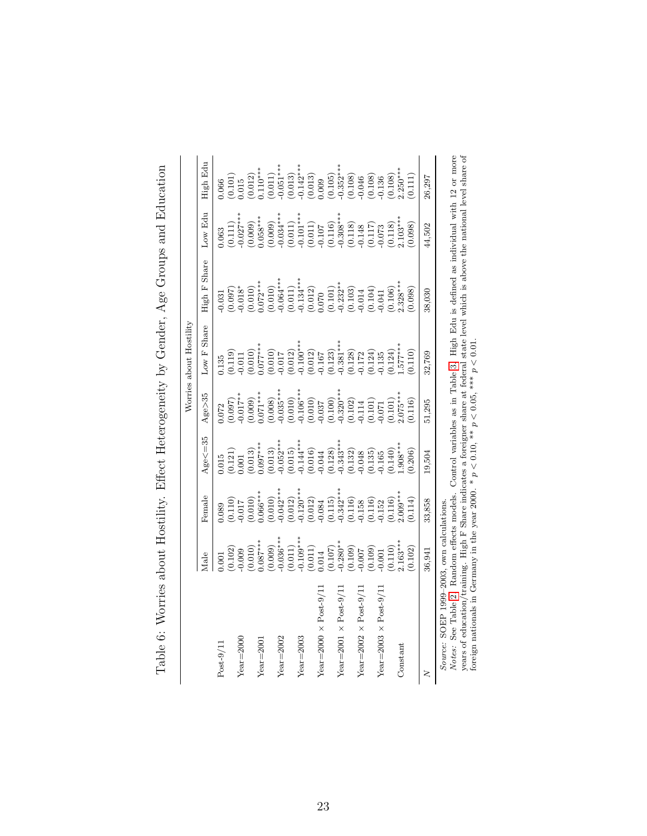|                                                                                                         |                                                                                                                                                                                                                                                                                             |                                                                                                                                                                                                                                                                                                                    |                                                                                                                                                                                                                                                                                   |                                                                                                                                                                                                                                                                                | Worries about Hostility                                                                                                                                                                                                                                                                                            |                                                                                                                                                                                                                                                                                    |                                                                                                                                                                                                                                                                                                                            |                                                                                                                                                                                                                                                                                                 |
|---------------------------------------------------------------------------------------------------------|---------------------------------------------------------------------------------------------------------------------------------------------------------------------------------------------------------------------------------------------------------------------------------------------|--------------------------------------------------------------------------------------------------------------------------------------------------------------------------------------------------------------------------------------------------------------------------------------------------------------------|-----------------------------------------------------------------------------------------------------------------------------------------------------------------------------------------------------------------------------------------------------------------------------------|--------------------------------------------------------------------------------------------------------------------------------------------------------------------------------------------------------------------------------------------------------------------------------|--------------------------------------------------------------------------------------------------------------------------------------------------------------------------------------------------------------------------------------------------------------------------------------------------------------------|------------------------------------------------------------------------------------------------------------------------------------------------------------------------------------------------------------------------------------------------------------------------------------|----------------------------------------------------------------------------------------------------------------------------------------------------------------------------------------------------------------------------------------------------------------------------------------------------------------------------|-------------------------------------------------------------------------------------------------------------------------------------------------------------------------------------------------------------------------------------------------------------------------------------------------|
|                                                                                                         | Male                                                                                                                                                                                                                                                                                        | Female                                                                                                                                                                                                                                                                                                             | $Age < = 35$                                                                                                                                                                                                                                                                      | $Age \geq 35$                                                                                                                                                                                                                                                                  | Share<br>Low $F$                                                                                                                                                                                                                                                                                                   | High F Share                                                                                                                                                                                                                                                                       | Low Edu                                                                                                                                                                                                                                                                                                                    | High Edu                                                                                                                                                                                                                                                                                        |
| $Post-9/11$                                                                                             |                                                                                                                                                                                                                                                                                             | 1.089                                                                                                                                                                                                                                                                                                              |                                                                                                                                                                                                                                                                                   | 0.72                                                                                                                                                                                                                                                                           | 135                                                                                                                                                                                                                                                                                                                |                                                                                                                                                                                                                                                                                    | 0.63                                                                                                                                                                                                                                                                                                                       | 1.066                                                                                                                                                                                                                                                                                           |
|                                                                                                         |                                                                                                                                                                                                                                                                                             |                                                                                                                                                                                                                                                                                                                    |                                                                                                                                                                                                                                                                                   |                                                                                                                                                                                                                                                                                |                                                                                                                                                                                                                                                                                                                    |                                                                                                                                                                                                                                                                                    |                                                                                                                                                                                                                                                                                                                            |                                                                                                                                                                                                                                                                                                 |
| $Year = 200C$                                                                                           |                                                                                                                                                                                                                                                                                             |                                                                                                                                                                                                                                                                                                                    |                                                                                                                                                                                                                                                                                   |                                                                                                                                                                                                                                                                                |                                                                                                                                                                                                                                                                                                                    |                                                                                                                                                                                                                                                                                    |                                                                                                                                                                                                                                                                                                                            |                                                                                                                                                                                                                                                                                                 |
|                                                                                                         |                                                                                                                                                                                                                                                                                             |                                                                                                                                                                                                                                                                                                                    |                                                                                                                                                                                                                                                                                   |                                                                                                                                                                                                                                                                                |                                                                                                                                                                                                                                                                                                                    |                                                                                                                                                                                                                                                                                    |                                                                                                                                                                                                                                                                                                                            |                                                                                                                                                                                                                                                                                                 |
| $Year = 2001$                                                                                           |                                                                                                                                                                                                                                                                                             |                                                                                                                                                                                                                                                                                                                    |                                                                                                                                                                                                                                                                                   |                                                                                                                                                                                                                                                                                |                                                                                                                                                                                                                                                                                                                    |                                                                                                                                                                                                                                                                                    |                                                                                                                                                                                                                                                                                                                            |                                                                                                                                                                                                                                                                                                 |
|                                                                                                         |                                                                                                                                                                                                                                                                                             |                                                                                                                                                                                                                                                                                                                    |                                                                                                                                                                                                                                                                                   |                                                                                                                                                                                                                                                                                |                                                                                                                                                                                                                                                                                                                    |                                                                                                                                                                                                                                                                                    |                                                                                                                                                                                                                                                                                                                            |                                                                                                                                                                                                                                                                                                 |
| $Year = 2002$                                                                                           |                                                                                                                                                                                                                                                                                             |                                                                                                                                                                                                                                                                                                                    |                                                                                                                                                                                                                                                                                   |                                                                                                                                                                                                                                                                                |                                                                                                                                                                                                                                                                                                                    |                                                                                                                                                                                                                                                                                    |                                                                                                                                                                                                                                                                                                                            |                                                                                                                                                                                                                                                                                                 |
|                                                                                                         |                                                                                                                                                                                                                                                                                             |                                                                                                                                                                                                                                                                                                                    |                                                                                                                                                                                                                                                                                   |                                                                                                                                                                                                                                                                                |                                                                                                                                                                                                                                                                                                                    |                                                                                                                                                                                                                                                                                    |                                                                                                                                                                                                                                                                                                                            |                                                                                                                                                                                                                                                                                                 |
| $Year = 2003$                                                                                           |                                                                                                                                                                                                                                                                                             |                                                                                                                                                                                                                                                                                                                    |                                                                                                                                                                                                                                                                                   |                                                                                                                                                                                                                                                                                |                                                                                                                                                                                                                                                                                                                    |                                                                                                                                                                                                                                                                                    |                                                                                                                                                                                                                                                                                                                            |                                                                                                                                                                                                                                                                                                 |
|                                                                                                         |                                                                                                                                                                                                                                                                                             |                                                                                                                                                                                                                                                                                                                    |                                                                                                                                                                                                                                                                                   |                                                                                                                                                                                                                                                                                |                                                                                                                                                                                                                                                                                                                    |                                                                                                                                                                                                                                                                                    |                                                                                                                                                                                                                                                                                                                            |                                                                                                                                                                                                                                                                                                 |
| Year=2000 $\times$ Post-9/1                                                                             |                                                                                                                                                                                                                                                                                             |                                                                                                                                                                                                                                                                                                                    |                                                                                                                                                                                                                                                                                   |                                                                                                                                                                                                                                                                                |                                                                                                                                                                                                                                                                                                                    |                                                                                                                                                                                                                                                                                    |                                                                                                                                                                                                                                                                                                                            |                                                                                                                                                                                                                                                                                                 |
|                                                                                                         |                                                                                                                                                                                                                                                                                             |                                                                                                                                                                                                                                                                                                                    |                                                                                                                                                                                                                                                                                   |                                                                                                                                                                                                                                                                                |                                                                                                                                                                                                                                                                                                                    |                                                                                                                                                                                                                                                                                    |                                                                                                                                                                                                                                                                                                                            |                                                                                                                                                                                                                                                                                                 |
| Year=2001 $\times$ Post-9/1                                                                             |                                                                                                                                                                                                                                                                                             |                                                                                                                                                                                                                                                                                                                    |                                                                                                                                                                                                                                                                                   |                                                                                                                                                                                                                                                                                |                                                                                                                                                                                                                                                                                                                    |                                                                                                                                                                                                                                                                                    |                                                                                                                                                                                                                                                                                                                            |                                                                                                                                                                                                                                                                                                 |
|                                                                                                         | $\begin{array}{l} 0.001\\ (0.102)\\ (0.009)\\ (0.009)\\ (0.000)\\ (0.000)\\ (0.001)\\ (0.011)\\ (0.011)\\ (0.011)\\ (0.012)\\ (0.001)\\ (0.001)\\ (0.007)\\ (0.009)\\ (0.007)\\ (0.007)\\ (0.007)\\ (0.007)\\ (0.007)\\ (0.007)\\ (0.007)\\ (0.007)\\ (0.007)\\ (0.007)\\ (0.007)\\ (0.007$ | $\begin{smallmatrix} (0.110)\\ (0.017)\\ (0.006^{***}\\ (0.066^{***})\\ (0.010)^{*}}\\ (0.010)^{*}\\ (0.012)^{*}}\\ (0.012)^{*}\\ (0.012)\\ (0.012)\\ (0.012)\\ (0.013)\\ (0.116)\\ (0.116)\\ (0.116)\\ (0.116)\\ (0.116)\\ (0.117)\\ (0.118)\\ (0.119)\\ (0.110)\\ (0.110)\\ (0.110)\\ (0.110)\\ (0.110)\\ (0.11$ | $\begin{smallmatrix} 0.015\\ 0.021\\ 0.001\\ 0.097^{***}\\ 0.097^{***}\\ 0.013\\ 0.015\\ 0.015\\ 0.015\\ 0.015\\ 0.015\\ 0.010\\ 0.010\\ 0.010\\ 0.013\\ 0.028\\ 0.010\\ 0.013\\ 0.010\\ 0.010\\ 0.010\\ 0.010\\ 0.010\\ 0.010\\ 0.010\\ 0.010\\ 0.010\\ 0.010\\ 0.010\\ 0.010\\$ | $\begin{smallmatrix} (0.097)\\ 0.017^{***} \\ 0.017^{***} \\ 0.009)\\ 0.0000\\ 0.0000\\ 0.0000\\ 0.0000\\ 0.0000\\ 0.0000\\ 0.0000\\ 0.0000\\ 0.0000\\ 0.0000\\ 0.0000\\ 0.0000\\ 0.0000\\ 0.0000\\ 0.0000\\ 0.0000\\ 0.0000\\ 0.0000\\ 0.0000\\ 0.0000\\ 0.0000\\ 0.0000\\ 0$ | $\begin{array}{l} (0.119)\\ -0.011\\ -0.017\\ (0.010)\\ (0.017)\\ (-0.017)\\ (-0.012)\\ (-0.012)\\ (-0.012)\\ (-0.012)\\ (-0.012)\\ (-0.013)\\ (-0.013)\\ (-0.013)\\ (-0.013)\\ (-0.013)\\ (-0.013)\\ (-0.013)\\ (-0.013)\\ (-0.013)\\ (-0.013)\\ (-0.013)\\ (-0.013)\\ (-0.013)\\ (-0.013)\\ (-0.013)\\ (-0.013)$ | $\begin{smallmatrix} 0.031\\ 0.097)\\ 0.018^{**}\\ 0.012^{***}\\ 0.0000\\ 0.0000\\ 0.0000\\ 0.0111\\ 0.0000\\ 0.0111\\ 0.0121\\ 0.0122^{**}\\ 0.0123^{**}\\ 0.0121\\ 0.0101\\ 0.0101\\ 0.0101\\ 0.0101\\ 0.0101\\ 0.0000\\ 0.0000\\ 0.0000\\ 0.0000\\ 0.0000\\ 0.0000\\ 0.0000\\ $ | $\begin{array}{l} (0.111)\\ -0.027^{***} \\ -0.058^{***} \\ (0.069)\\ -0.054^{***} \\ (0.011)\\ -0.034^{***} \\ (0.011)\\ -0.011 \\ (-0.011)\\ -0.010 \\ (-0.010)\\ -0.010 \\ (-0.010)\\ -0.010 \\ (-0.010)\\ -0.010 \\ (-0.010)\\ -0.010 \\ (0.010)\\ -0.010 \\ (0.010)\\ -0.010 \\ (0.010)\\ -0.010 \\ (0.010)\\ -0.010$ | $\begin{smallmatrix} (0.101)\\ (0.012)\\ (0.011)\\ (0.011)\\ (0.011)\\ (0.013)\\ (0.013)\\ (0.013)\\ (0.009)\\ (0.009)\\ (0.0009)\\ (0.0000)\\ (0.0000)\\ (0.0000)\\ (0.0000)\\ (0.0000)\\ (0.000)\\ (0.000)\\ (0.000)\\ (0.000)\\ (0.000)\\ (0.000)\\ (0.000)\\ (0.000)\\ (0.000)\\ (0.000)\\$ |
| Year=2002 $\times$ Post-9/1.                                                                            |                                                                                                                                                                                                                                                                                             |                                                                                                                                                                                                                                                                                                                    |                                                                                                                                                                                                                                                                                   |                                                                                                                                                                                                                                                                                |                                                                                                                                                                                                                                                                                                                    |                                                                                                                                                                                                                                                                                    |                                                                                                                                                                                                                                                                                                                            |                                                                                                                                                                                                                                                                                                 |
|                                                                                                         | (601.0)                                                                                                                                                                                                                                                                                     |                                                                                                                                                                                                                                                                                                                    |                                                                                                                                                                                                                                                                                   |                                                                                                                                                                                                                                                                                |                                                                                                                                                                                                                                                                                                                    |                                                                                                                                                                                                                                                                                    |                                                                                                                                                                                                                                                                                                                            |                                                                                                                                                                                                                                                                                                 |
| Year= $2003 \times$ Post-9/1                                                                            |                                                                                                                                                                                                                                                                                             |                                                                                                                                                                                                                                                                                                                    |                                                                                                                                                                                                                                                                                   |                                                                                                                                                                                                                                                                                |                                                                                                                                                                                                                                                                                                                    |                                                                                                                                                                                                                                                                                    |                                                                                                                                                                                                                                                                                                                            |                                                                                                                                                                                                                                                                                                 |
|                                                                                                         |                                                                                                                                                                                                                                                                                             |                                                                                                                                                                                                                                                                                                                    |                                                                                                                                                                                                                                                                                   |                                                                                                                                                                                                                                                                                |                                                                                                                                                                                                                                                                                                                    |                                                                                                                                                                                                                                                                                    |                                                                                                                                                                                                                                                                                                                            |                                                                                                                                                                                                                                                                                                 |
| Constant                                                                                                | $(0.110)$<br>$2.163***$                                                                                                                                                                                                                                                                     |                                                                                                                                                                                                                                                                                                                    |                                                                                                                                                                                                                                                                                   |                                                                                                                                                                                                                                                                                |                                                                                                                                                                                                                                                                                                                    |                                                                                                                                                                                                                                                                                    |                                                                                                                                                                                                                                                                                                                            |                                                                                                                                                                                                                                                                                                 |
|                                                                                                         | 0.102)                                                                                                                                                                                                                                                                                      | (0.114)                                                                                                                                                                                                                                                                                                            | 0.206)                                                                                                                                                                                                                                                                            | 0.116)                                                                                                                                                                                                                                                                         | 0.110)                                                                                                                                                                                                                                                                                                             | 0.098)                                                                                                                                                                                                                                                                             | 0.098)                                                                                                                                                                                                                                                                                                                     | 0.111                                                                                                                                                                                                                                                                                           |
| ζ                                                                                                       | 36,941                                                                                                                                                                                                                                                                                      | 33,858                                                                                                                                                                                                                                                                                                             | 19,504                                                                                                                                                                                                                                                                            | 51,295                                                                                                                                                                                                                                                                         | 32,769                                                                                                                                                                                                                                                                                                             | 38,030                                                                                                                                                                                                                                                                             | 44,502                                                                                                                                                                                                                                                                                                                     | 26,297                                                                                                                                                                                                                                                                                          |
| de Tule 9 Deader affairs medal<br>Source: SOEP 1999-2003, own calculations.<br>$N^T \sim 4 \sim \infty$ |                                                                                                                                                                                                                                                                                             |                                                                                                                                                                                                                                                                                                                    |                                                                                                                                                                                                                                                                                   |                                                                                                                                                                                                                                                                                |                                                                                                                                                                                                                                                                                                                    |                                                                                                                                                                                                                                                                                    |                                                                                                                                                                                                                                                                                                                            |                                                                                                                                                                                                                                                                                                 |

<span id="page-24-0"></span>Table 6: Worries about Hostility. Effect Heterogeneity by Gender, Age Groups and Education Table 6: Worries about Hostility. Effect Heterogeneity by Gender, Age Groups and Education *Notes*: See Table 2. Random effects models. Control variables as in Table 3. High Edu is defined as individual with 12 or more<br>years of education/training. High F Share indicates a foreigner share at federal state level Notes: See Table [2.](#page-19-1) Random effects models. Control variables as in Table [3.](#page-21-0) High Edu is defined as individual with 12 or more years of education/training. High F Share indicates a foreigner share at federal state level which is above the national level share of foreign nationals in Germany in the year 2000. \*  $p < 0.10$ , \*\*  $p < 0.05$ , \*\*\*  $p < 0.01$ .